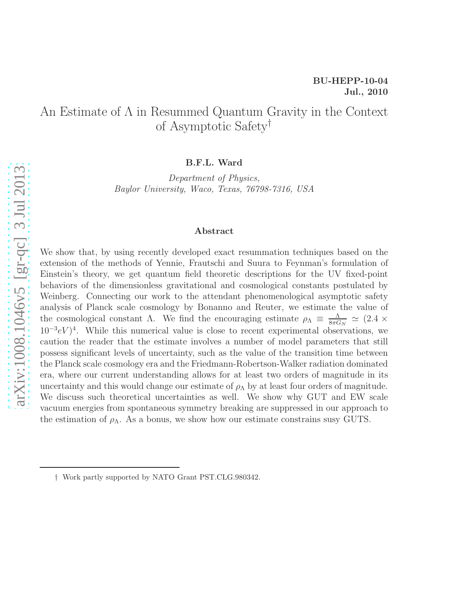# An Estimate of Λ in Resummed Quantum Gravity in the Context of Asymptotic Safety†

B.F.L. Ward

Department of Physics, Baylor University, Waco, Texas, 76798-7316, USA

#### Abstract

We show that, by using recently developed exact resummation techniques based on the extension of the methods of Yennie, Frautschi and Suura to Feynman's formulation of Einstein's theory, we get quantum field theoretic descriptions for the UV fixed-point behaviors of the dimensionless gravitational and cosmological constants postulated by Weinberg. Connecting our work to the attendant phenomenological asymptotic safety analysis of Planck scale cosmology by Bonanno and Reuter, we estimate the value of the cosmological constant Λ. We find the encouraging estimate  $\rho_{\Lambda} \equiv \frac{\Lambda}{8\pi G}$  $\frac{\Lambda}{8\pi G_N} \simeq (2.4 \times$  $(10^{-3}eV)^4$ . While this numerical value is close to recent experimental observations, we caution the reader that the estimate involves a number of model parameters that still possess significant levels of uncertainty, such as the value of the transition time between the Planck scale cosmology era and the Friedmann-Robertson-Walker radiation dominated era, where our current understanding allows for at least two orders of magnitude in its uncertainty and this would change our estimate of  $\rho_{\Lambda}$  by at least four orders of magnitude. We discuss such theoretical uncertainties as well. We show why GUT and EW scale vacuum energies from spontaneous symmetry breaking are suppressed in our approach to the estimation of  $\rho_{\Lambda}$ . As a bonus, we show how our estimate constrains susy GUTS.

<sup>†</sup> Work partly supported by NATO Grant PST.CLG.980342.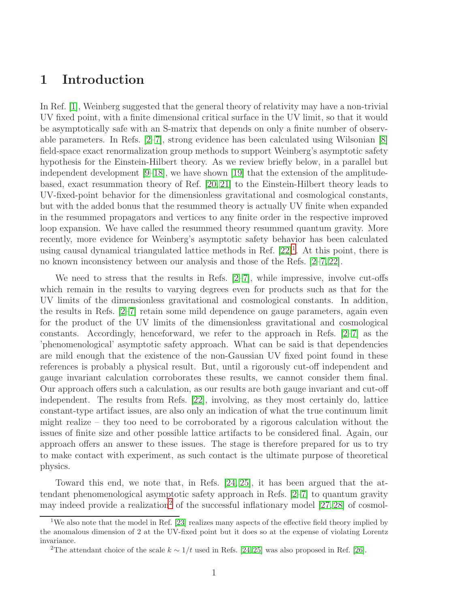## 1 Introduction

In Ref. [\[1\]](#page-33-0), Weinberg suggested that the general theory of relativity may have a non-trivial UV fixed point, with a finite dimensional critical surface in the UV limit, so that it would be asymptotically safe with an S-matrix that depends on only a finite number of observable parameters. In Refs. [\[2–](#page-33-1)[7\]](#page-33-2), strong evidence has been calculated using Wilsonian [\[8\]](#page-33-3) field-space exact renormalization group methods to support Weinberg's asymptotic safety hypothesis for the Einstein-Hilbert theory. As we review briefly below, in a parallel but independent development [\[9](#page-33-4)[–18\]](#page-33-5), we have shown [\[19\]](#page-34-0) that the extension of the amplitudebased, exact resummation theory of Ref. [\[20,](#page-34-1) [21\]](#page-34-2) to the Einstein-Hilbert theory leads to UV-fixed-point behavior for the dimensionless gravitational and cosmological constants, but with the added bonus that the resummed theory is actually UV finite when expanded in the resummed propagators and vertices to any finite order in the respective improved loop expansion. We have called the resummed theory resummed quantum gravity. More recently, more evidence for Weinberg's asymptotic safety behavior has been calculated using causal dynamical triangulated lattice methods in Ref.  $[22]$ <sup>[1](#page-1-0)</sup>. At this point, there is no known inconsistency between our analysis and those of the Refs. [\[2–](#page-33-1)[7,](#page-33-2) [22\]](#page-34-3).

We need to stress that the results in Refs.  $[2-7]$  $[2-7]$ , while impressive, involve cut-offs which remain in the results to varying degrees even for products such as that for the UV limits of the dimensionless gravitational and cosmological constants. In addition, the results in Refs. [\[2](#page-33-1)[–7\]](#page-33-2) retain some mild dependence on gauge parameters, again even for the product of the UV limits of the dimensionless gravitational and cosmological constants. Accordingly, henceforward, we refer to the approach in Refs. [\[2–](#page-33-1)[7\]](#page-33-2) as the 'phenomenological' asymptotic safety approach. What can be said is that dependencies are mild enough that the existence of the non-Gaussian UV fixed point found in these references is probably a physical result. But, until a rigorously cut-off independent and gauge invariant calculation corroborates these results, we cannot consider them final. Our approach offers such a calculation, as our results are both gauge invariant and cut-off independent. The results from Refs. [\[22\]](#page-34-3), involving, as they most certainly do, lattice constant-type artifact issues, are also only an indication of what the true continuum limit might realize – they too need to be corroborated by a rigorous calculation without the issues of finite size and other possible lattice artifacts to be considered final. Again, our approach offers an answer to these issues. The stage is therefore prepared for us to try to make contact with experiment, as such contact is the ultimate purpose of theoretical physics.

Toward this end, we note that, in Refs. [\[24,](#page-34-4) [25\]](#page-34-5), it has been argued that the attendant phenomenological asymptotic safety approach in Refs. [\[2–](#page-33-1)[7\]](#page-33-2) to quantum gravity may indeed provide a realization<sup>[2](#page-1-1)</sup> of the successful inflationary model  $[27, 28]$  $[27, 28]$  of cosmol-

<span id="page-1-0"></span><sup>&</sup>lt;sup>1</sup>We also note that the model in Ref. [\[23\]](#page-34-8) realizes many aspects of the effective field theory implied by the anomalous dimension of 2 at the UV-fixed point but it does so at the expense of violating Lorentz invariance.

<span id="page-1-1"></span><sup>&</sup>lt;sup>2</sup>The attendant choice of the scale  $k \sim 1/t$  used in Refs. [\[24,](#page-34-4) [25\]](#page-34-5) was also proposed in Ref. [\[26\]](#page-34-9).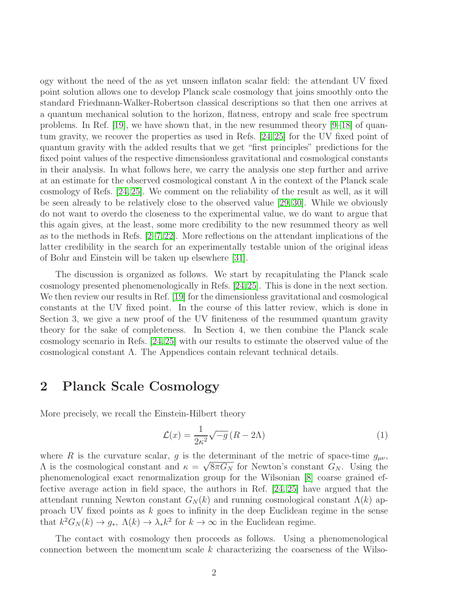ogy without the need of the as yet unseen inflaton scalar field: the attendant UV fixed point solution allows one to develop Planck scale cosmology that joins smoothly onto the standard Friedmann-Walker-Robertson classical descriptions so that then one arrives at a quantum mechanical solution to the horizon, flatness, entropy and scale free spectrum problems. In Ref. [\[19\]](#page-34-0), we have shown that, in the new resummed theory  $[9-18]$  $[9-18]$  of quantum gravity, we recover the properties as used in Refs. [\[24,](#page-34-4) [25\]](#page-34-5) for the UV fixed point of quantum gravity with the added results that we get "first principles" predictions for the fixed point values of the respective dimensionless gravitational and cosmological constants in their analysis. In what follows here, we carry the analysis one step further and arrive at an estimate for the observed cosmological constant  $\Lambda$  in the context of the Planck scale cosmology of Refs. [\[24,](#page-34-4) [25\]](#page-34-5). We comment on the reliability of the result as well, as it will be seen already to be relatively close to the observed value [\[29,](#page-34-10) [30\]](#page-34-11). While we obviously do not want to overdo the closeness to the experimental value, we do want to argue that this again gives, at the least, some more credibility to the new resummed theory as well as to the methods in Refs. [\[2–](#page-33-1)[7,](#page-33-2)[22\]](#page-34-3). More reflections on the attendant implications of the latter credibility in the search for an experimentally testable union of the original ideas of Bohr and Einstein will be taken up elsewhere [\[31\]](#page-34-12).

The discussion is organized as follows. We start by recapitulating the Planck scale cosmology presented phenomenologically in Refs. [\[24,](#page-34-4)[25\]](#page-34-5). This is done in the next section. We then review our results in Ref. [\[19\]](#page-34-0) for the dimensionless gravitational and cosmological constants at the UV fixed point. In the course of this latter review, which is done in Section 3, we give a new proof of the UV finiteness of the resummed quantum gravity theory for the sake of completeness. In Section 4, we then combine the Planck scale cosmology scenario in Refs. [\[24,](#page-34-4)[25\]](#page-34-5) with our results to estimate the observed value of the cosmological constant  $\Lambda$ . The Appendices contain relevant technical details.

### 2 Planck Scale Cosmology

More precisely, we recall the Einstein-Hilbert theory

$$
\mathcal{L}(x) = \frac{1}{2\kappa^2} \sqrt{-g} \left( R - 2\Lambda \right) \tag{1}
$$

where R is the curvature scalar, g is the determinant of the metric of space-time  $g_{\mu\nu}$ ,  $Λ$  is the cosmological constant and  $κ = \sqrt{8πG_N}$  for Newton's constant  $G_N$ . Using the phenomenological exact renormalization group for the Wilsonian [\[8\]](#page-33-3) coarse grained effective average action in field space, the authors in Ref. [\[24,](#page-34-4) [25\]](#page-34-5) have argued that the attendant running Newton constant  $G_N(k)$  and running cosmological constant  $\Lambda(k)$  approach UV fixed points as  $k$  goes to infinity in the deep Euclidean regime in the sense that  $k^2 G_N(k) \to g_*, \ \Lambda(k) \to \lambda_* k^2$  for  $k \to \infty$  in the Euclidean regime.

The contact with cosmology then proceeds as follows. Using a phenomenological connection between the momentum scale  $k$  characterizing the coarseness of the Wilso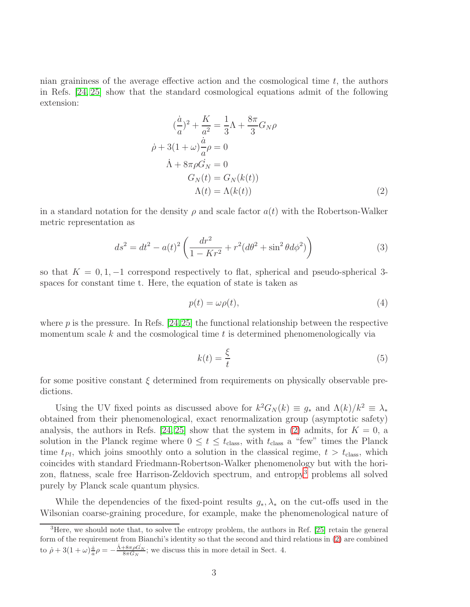nian graininess of the average effective action and the cosmological time  $t$ , the authors in Refs. [\[24,](#page-34-4) [25\]](#page-34-5) show that the standard cosmological equations admit of the following extension:

$$
(\frac{\dot{a}}{a})^2 + \frac{K}{a^2} = \frac{1}{3}\Lambda + \frac{8\pi}{3}G_N\rho
$$
  
\n
$$
\dot{\rho} + 3(1+\omega)\frac{\dot{a}}{a}\rho = 0
$$
  
\n
$$
\dot{\Lambda} + 8\pi\rho\dot{G}_N = 0
$$
  
\n
$$
G_N(t) = G_N(k(t))
$$
  
\n
$$
\Lambda(t) = \Lambda(k(t))
$$
\n(2)

in a standard notation for the density  $\rho$  and scale factor  $a(t)$  with the Robertson-Walker metric representation as

$$
ds^{2} = dt^{2} - a(t)^{2} \left( \frac{dr^{2}}{1 - Kr^{2}} + r^{2} (d\theta^{2} + \sin^{2} \theta d\phi^{2}) \right)
$$
 (3)

so that  $K = 0, 1, -1$  correspond respectively to flat, spherical and pseudo-spherical 3spaces for constant time t. Here, the equation of state is taken as

<span id="page-3-0"></span>
$$
p(t) = \omega \rho(t),\tag{4}
$$

where  $p$  is the pressure. In Refs. [\[24,](#page-34-4)[25\]](#page-34-5) the functional relationship between the respective momentum scale  $k$  and the cosmological time  $t$  is determined phenomenologically via

$$
k(t) = \frac{\xi}{t} \tag{5}
$$

for some positive constant  $\xi$  determined from requirements on physically observable predictions.

Using the UV fixed points as discussed above for  $k^2 G_N(k) \equiv g_*$  and  $\Lambda(k)/k^2 \equiv \lambda_*$ obtained from their phenomenological, exact renormalization group (asymptotic safety) analysis, the authors in Refs. [\[24,](#page-34-4) [25\]](#page-34-5) show that the system in [\(2\)](#page-3-0) admits, for  $K = 0$ , a solution in the Planck regime where  $0 \le t \le t_{\text{class}}$ , with  $t_{\text{class}}$  a "few" times the Planck time  $t_{Pl}$ , which joins smoothly onto a solution in the classical regime,  $t > t_{\text{class}}$ , which coincides with standard Friedmann-Robertson-Walker phenomenology but with the hori-zon, flatness, scale free Harrison-Zeldovich spectrum, and entropy<sup>[3](#page-3-1)</sup> problems all solved purely by Planck scale quantum physics.

While the dependencies of the fixed-point results  $g_*, \lambda_*$  on the cut-offs used in the Wilsonian coarse-graining procedure, for example, make the phenomenological nature of

<span id="page-3-1"></span><sup>&</sup>lt;sup>3</sup>Here, we should note that, to solve the entropy problem, the authors in Ref. [\[25\]](#page-34-5) retain the general form of the requirement from Bianchi's identity so that the second and third relations in [\(2\)](#page-3-0) are combined to  $\dot{\rho} + 3(1+\omega)\frac{\dot{a}}{a}\rho = -\frac{\dot{\Lambda}+8\pi\rho G_N}{8\pi G_N}$ ; we discuss this in more detail in Sect. 4.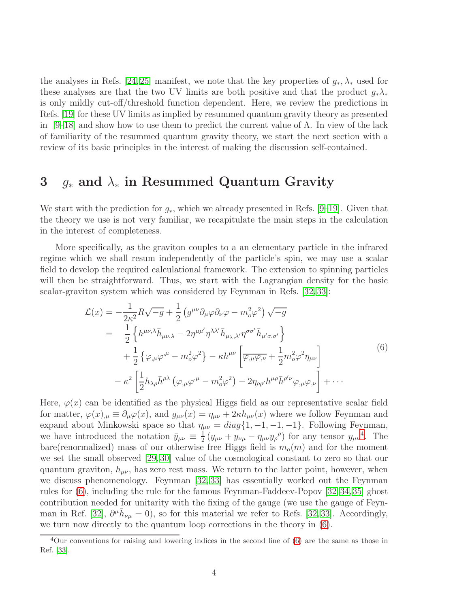the analyses in Refs. [\[24,](#page-34-4) [25\]](#page-34-5) manifest, we note that the key properties of  $g_*, \lambda_*$  used for these analyses are that the two UV limits are both positive and that the product  $g_*\lambda_*$ is only mildly cut-off/threshold function dependent. Here, we review the predictions in Refs. [\[19\]](#page-34-0) for these UV limits as implied by resummed quantum gravity theory as presented in [\[9–](#page-33-4)[18\]](#page-33-5) and show how to use them to predict the current value of  $\Lambda$ . In view of the lack of familiarity of the resummed quantum gravity theory, we start the next section with a review of its basic principles in the interest of making the discussion self-contained.

#### 3  $q_*$  and  $\lambda_*$  in Resummed Quantum Gravity

We start with the prediction for  $g_*$ , which we already presented in Refs. [\[9](#page-33-4)[–19\]](#page-34-0). Given that the theory we use is not very familiar, we recapitulate the main steps in the calculation in the interest of completeness.

More specifically, as the graviton couples to a an elementary particle in the infrared regime which we shall resum independently of the particle's spin, we may use a scalar field to develop the required calculational framework. The extension to spinning particles will then be straightforward. Thus, we start with the Lagrangian density for the basic scalar-graviton system which was considered by Feynman in Refs. [\[32,](#page-34-13) [33\]](#page-34-14):

$$
\mathcal{L}(x) = -\frac{1}{2\kappa^2} R \sqrt{-g} + \frac{1}{2} \left( g^{\mu\nu} \partial_{\mu} \varphi \partial_{\nu} \varphi - m_o^2 \varphi^2 \right) \sqrt{-g}
$$
  
\n
$$
= \frac{1}{2} \left\{ h^{\mu\nu,\lambda} \bar{h}_{\mu\nu,\lambda} - 2 \eta^{\mu\mu'} \eta^{\lambda\lambda'} \bar{h}_{\mu,\lambda,\lambda'} \eta^{\sigma\sigma'} \bar{h}_{\mu'\sigma,\sigma'} \right\}
$$
  
\n
$$
+ \frac{1}{2} \left\{ \varphi_{,\mu} \varphi^{,\mu} - m_o^2 \varphi^2 \right\} - \kappa h^{\mu\nu} \left[ \overline{\varphi_{,\mu} \varphi_{,\nu}} + \frac{1}{2} m_o^2 \varphi^2 \eta_{\mu\nu} \right]
$$
  
\n
$$
- \kappa^2 \left[ \frac{1}{2} h_{\lambda\rho} \bar{h}^{\rho\lambda} \left( \varphi_{,\mu} \varphi^{,\mu} - m_o^2 \varphi^2 \right) - 2 \eta_{\rho\rho'} h^{\mu\rho} \bar{h}^{\rho'\nu} \varphi_{,\mu} \varphi_{,\nu} \right] + \cdots
$$
  
\n(6)

<span id="page-4-1"></span>Here,  $\varphi(x)$  can be identified as the physical Higgs field as our representative scalar field for matter,  $\varphi(x)_{,\mu} \equiv \partial_{\mu}\varphi(x)$ , and  $g_{\mu\nu}(x) = \eta_{\mu\nu} + 2\kappa h_{\mu\nu}(x)$  where we follow Feynman and expand about Minkowski space so that  $\eta_{\mu\nu} = diag\{1, -1, -1, -1\}$ . Following Feynman, we have introduced the notation  $\bar{y}_{\mu\nu} \equiv \frac{1}{2}$  $\frac{1}{2}(y_{\mu\nu}+y_{\nu\mu}-\eta_{\mu\nu}y_{\rho}^{\rho})$  for any tensor  $y_{\mu\nu}^4$  $y_{\mu\nu}^4$ . The bare(renormalized) mass of our otherwise free Higgs field is  $m<sub>o</sub>(m)$  and for the moment we set the small observed [\[29,](#page-34-10) [30\]](#page-34-11) value of the cosmological constant to zero so that our quantum graviton,  $h_{\mu\nu}$ , has zero rest mass. We return to the latter point, however, when we discuss phenomenology. Feynman [\[32,](#page-34-13) [33\]](#page-34-14) has essentially worked out the Feynman rules for [\(6\)](#page-4-1), including the rule for the famous Feynman-Faddeev-Popov [\[32,](#page-34-13)[34,](#page-34-15)[35\]](#page-34-16) ghost contribution needed for unitarity with the fixing of the gauge (we use the gauge of Feyn-man in Ref. [\[32\]](#page-34-13),  $\partial^{\mu} \bar{h}_{\nu\mu} = 0$ , so for this material we refer to Refs. [\[32,](#page-34-13) [33\]](#page-34-14). Accordingly, we turn now directly to the quantum loop corrections in the theory in [\(6\)](#page-4-1).

<span id="page-4-0"></span><sup>&</sup>lt;sup>4</sup>Our conventions for raising and lowering indices in the second line of [\(6\)](#page-4-1) are the same as those in Ref. [\[33\]](#page-34-14).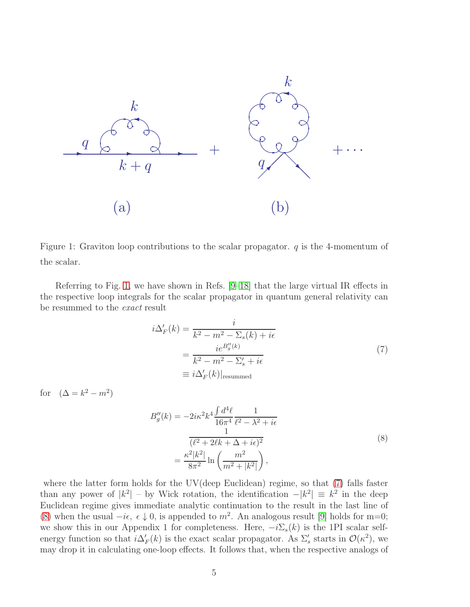

<span id="page-5-0"></span>Figure 1: Graviton loop contributions to the scalar propagator.  $q$  is the 4-momentum of the scalar.

Referring to Fig. [1,](#page-5-0) we have shown in Refs. [\[9](#page-33-4)[–18\]](#page-33-5) that the large virtual IR effects in the respective loop integrals for the scalar propagator in quantum general relativity can be resummed to the exact result

 $\it i$ 

$$
\Delta'_{F}(k) = \frac{i}{k^2 - m^2 - \Sigma_s(k) + i\epsilon}
$$
  
= 
$$
\frac{ie^{B''_g(k)}}{k^2 - m^2 - \Sigma'_s + i\epsilon}
$$
  
\equiv 
$$
i\Delta'_{F}(k)|_{\text{resummed}}
$$
 (7)

<span id="page-5-1"></span>for  $(\Delta = k^2 - m^2)$ 

$$
B''_g(k) = -2i\kappa^2 k^4 \frac{\int d^4\ell}{16\pi^4} \frac{1}{\ell^2 - \lambda^2 + i\epsilon}
$$
  

$$
\frac{1}{(\ell^2 + 2\ell k + \Delta + i\epsilon)^2}
$$
  

$$
= \frac{\kappa^2 |k^2|}{8\pi^2} \ln \left( \frac{m^2}{m^2 + |k^2|} \right),
$$
 (8)

<span id="page-5-2"></span>where the latter form holds for the UV(deep Euclidean) regime, so that  $(7)$  falls faster than any power of  $|k^2|$  – by Wick rotation, the identification  $-|k^2| \equiv k^2$  in the deep Euclidean regime gives immediate analytic continuation to the result in the last line of [\(8\)](#page-5-2) when the usual  $-i\epsilon$ ,  $\epsilon \downarrow 0$ , is appended to  $m^2$ . An analogous result [\[9\]](#page-33-4) holds for m=0; we show this in our Appendix 1 for completeness. Here,  $-i\Sigma_s(k)$  is the 1PI scalar selfenergy function so that  $i\Delta'_F(k)$  is the exact scalar propagator. As  $\Sigma'_s$  starts in  $\mathcal{O}(\kappa^2)$ , we may drop it in calculating one-loop effects. It follows that, when the respective analogs of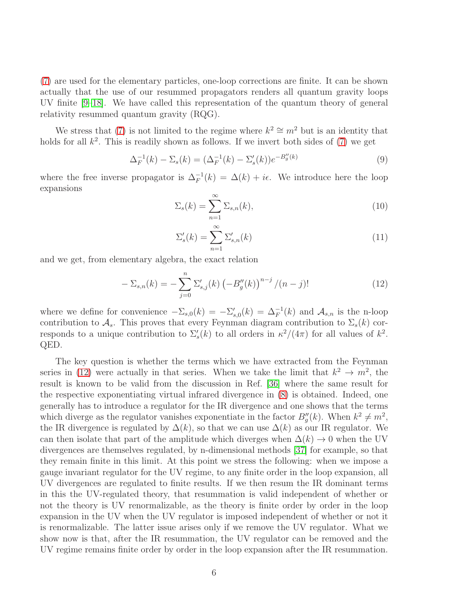[\(7\)](#page-5-1) are used for the elementary particles, one-loop corrections are finite. It can be shown actually that the use of our resummed propagators renders all quantum gravity loops UV finite [\[9](#page-33-4)[–18\]](#page-33-5). We have called this representation of the quantum theory of general relativity resummed quantum gravity (RQG).

We stress that [\(7\)](#page-5-1) is not limited to the regime where  $k^2 \cong m^2$  but is an identity that holds for all  $k^2$ . This is readily shown as follows. If we invert both sides of  $(7)$  we get

<span id="page-6-1"></span>
$$
\Delta_F^{-1}(k) - \Sigma_s(k) = (\Delta_F^{-1}(k) - \Sigma'_s(k))e^{-B''_g(k)}
$$
\n(9)

where the free inverse propagator is  $\Delta_F^{-1}(k) = \Delta(k) + i\epsilon$ . We introduce here the loop expansions

<span id="page-6-2"></span>
$$
\Sigma_s(k) = \sum_{n=1}^{\infty} \Sigma_{s,n}(k),\tag{10}
$$

$$
\Sigma_s'(k) = \sum_{n=1}^{\infty} \Sigma_{s,n}'(k)
$$
\n(11)

and we get, from elementary algebra, the exact relation

<span id="page-6-0"></span>
$$
-\Sigma_{s,n}(k) = -\sum_{j=0}^{n} \Sigma'_{s,j}(k) \left(-B''_g(k)\right)^{n-j} / (n-j)!
$$
 (12)

where we define for convenience  $-\Sigma_{s,0}(k) = -\Sigma'_{s,0}(k) = \Delta_F^{-1}(k)$  and  $\mathcal{A}_{s,n}$  is the n-loop contribution to  $\mathcal{A}_s$ . This proves that every Feynman diagram contribution to  $\Sigma_s(k)$  corresponds to a unique contribution to  $\Sigma_s'(k)$  to all orders in  $\kappa^2/(4\pi)$  for all values of  $k^2$ . QED.

The key question is whether the terms which we have extracted from the Feynman series in [\(12\)](#page-6-0) were actually in that series. When we take the limit that  $k^2 \to m^2$ , the result is known to be valid from the discussion in Ref. [\[36\]](#page-35-0) where the same result for the respective exponentiating virtual infrared divergence in [\(8\)](#page-5-2) is obtained. Indeed, one generally has to introduce a regulator for the IR divergence and one shows that the terms which diverge as the regulator vanishes exponentiate in the factor  $B''_g(k)$ . When  $k^2 \neq m^2$ , the IR divergence is regulated by  $\Delta(k)$ , so that we can use  $\Delta(k)$  as our IR regulator. We can then isolate that part of the amplitude which diverges when  $\Delta(k) \to 0$  when the UV divergences are themselves regulated, by n-dimensional methods [\[37\]](#page-35-1) for example, so that they remain finite in this limit. At this point we stress the following: when we impose a gauge invariant regulator for the UV regime, to any finite order in the loop expansion, all UV divergences are regulated to finite results. If we then resum the IR dominant terms in this the UV-regulated theory, that resummation is valid independent of whether or not the theory is UV renormalizable, as the theory is finite order by order in the loop expansion in the UV when the UV regulator is imposed independent of whether or not it is renormalizable. The latter issue arises only if we remove the UV regulator. What we show now is that, after the IR resummation, the UV regulator can be removed and the UV regime remains finite order by order in the loop expansion after the IR resummation.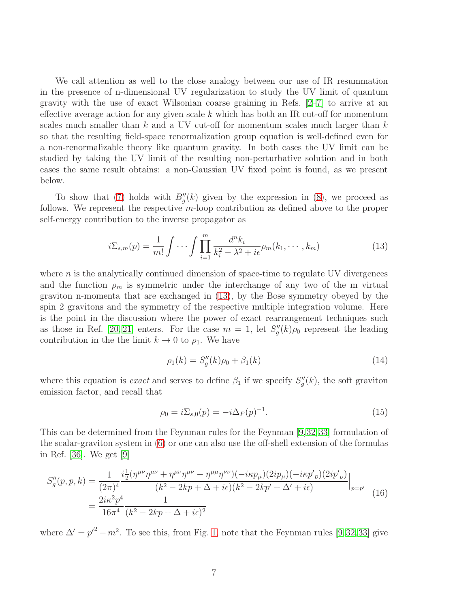We call attention as well to the close analogy between our use of IR resummation in the presence of n-dimensional UV regularization to study the UV limit of quantum gravity with the use of exact Wilsonian coarse graining in Refs. [\[2–](#page-33-1)[7\]](#page-33-2) to arrive at an effective average action for any given scale  $k$  which has both an IR cut-off for momentum scales much smaller than  $k$  and a UV cut-off for momentum scales much larger than  $k$ so that the resulting field-space renormalization group equation is well-defined even for a non-renormalizable theory like quantum gravity. In both cases the UV limit can be studied by taking the UV limit of the resulting non-perturbative solution and in both cases the same result obtains: a non-Gaussian UV fixed point is found, as we present below.

To show that [\(7\)](#page-5-1) holds with  $B''_g(k)$  given by the expression in [\(8\)](#page-5-2), we proceed as follows. We represent the respective m-loop contribution as defined above to the proper self-energy contribution to the inverse propagator as

<span id="page-7-0"></span>
$$
i\Sigma_{s,m}(p) = \frac{1}{m!} \int \cdots \int \prod_{i=1}^{m} \frac{d^n k_i}{k_i^2 - \lambda^2 + i\epsilon} \rho_m(k_1, \cdots, k_m)
$$
 (13)

where  $n$  is the analytically continued dimension of space-time to regulate UV divergences and the function  $\rho_m$  is symmetric under the interchange of any two of the m virtual graviton n-momenta that are exchanged in [\(13\)](#page-7-0), by the Bose symmetry obeyed by the spin 2 gravitons and the symmetry of the respective multiple integration volume. Here is the point in the discussion where the power of exact rearrangement techniques such as those in Ref. [\[20,](#page-34-1) [21\]](#page-34-2) enters. For the case  $m = 1$ , let  $S''_g(k)\rho_0$  represent the leading contribution in the the limit  $k \to 0$  to  $\rho_1$ . We have

<span id="page-7-1"></span>
$$
\rho_1(k) = S_g''(k)\rho_0 + \beta_1(k) \tag{14}
$$

where this equation is *exact* and serves to define  $\beta_1$  if we specify  $S''_g(k)$ , the soft graviton emission factor, and recall that

<span id="page-7-2"></span>
$$
\rho_0 = i \Sigma_{s,0}(p) = -i \Delta_F(p)^{-1}.
$$
\n(15)

This can be determined from the Feynman rules for the Feynman [\[9,](#page-33-4)[32,](#page-34-13)[33\]](#page-34-14) formulation of the scalar-graviton system in [\(6\)](#page-4-1) or one can also use the off-shell extension of the formulas in Ref. [\[36\]](#page-35-0). We get [\[9\]](#page-33-4)

<span id="page-7-3"></span>
$$
S''_g(p, p, k) = \frac{1}{(2\pi)^4} \frac{i\frac{1}{2}(\eta^{\mu\nu}\eta^{\bar{\mu}\bar{\nu}} + \eta^{\mu\bar{\nu}}\eta^{\bar{\mu}\nu} - \eta^{\mu\bar{\mu}}\eta^{\nu\bar{\nu}})(-i\kappa p_{\bar{\mu}})(2ip_{\mu})(-i\kappa p'_{\bar{\nu}})(2ip'_{\nu})}{(k^2 - 2kp + \Delta + i\epsilon)(k^2 - 2kp' + \Delta' + i\epsilon)}\Big|_{p=p'} = \frac{2i\kappa^2 p^4}{16\pi^4} \frac{1}{(k^2 - 2kp + \Delta + i\epsilon)^2}
$$
(16)

where  $\Delta' = p'^2 - m^2$ . To see this, from Fig. [1,](#page-5-0) note that the Feynman rules [\[9,](#page-33-4)[32,](#page-34-13)[33\]](#page-34-14) give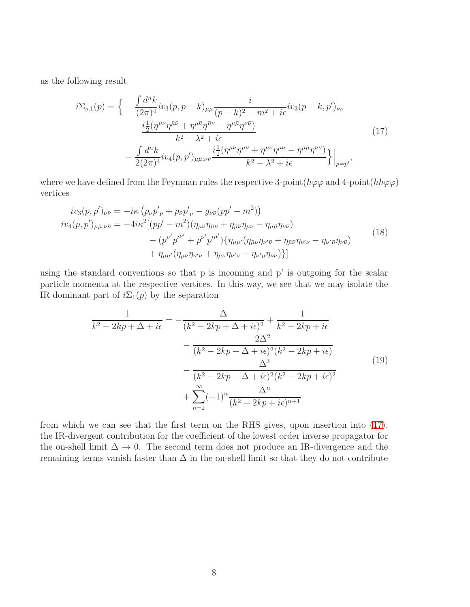us the following result

<span id="page-8-0"></span>
$$
i\Sigma_{s,1}(p) = \left\{ -\frac{\int d^nk}{(2\pi)^4} i v_3(p, p - k)_{\mu\bar{\mu}} \frac{i}{(p - k)^2 - m^2 + i\epsilon} i v_3(p - k, p')_{\nu\bar{\nu}} \n\frac{i\frac{1}{2}(\eta^{\mu\nu}\eta^{\bar{\mu}\bar{\nu}} + \eta^{\mu\bar{\nu}}\eta^{\bar{\mu}\nu} - \eta^{\mu\bar{\mu}}\eta^{\nu\bar{\nu}})}{k^2 - \lambda^2 + i\epsilon} \n- \frac{\int d^nk}{2(2\pi)^4} i v_4(p, p')_{\mu\bar{\mu};\nu\bar{\nu}} \frac{i\frac{1}{2}(\eta^{\mu\nu}\eta^{\bar{\mu}\bar{\nu}} + \eta^{\mu\bar{\nu}}\eta^{\bar{\mu}\nu} - \eta^{\mu\bar{\mu}}\eta^{\nu\bar{\nu}})}{k^2 - \lambda^2 + i\epsilon} \right\}\Big|_{p=p'},
$$
\n(17)

where we have defined from the Feynman rules the respective 3-point( $h\varphi\varphi$  and 4-point( $hh\varphi\varphi$ ) vertices

$$
iv_{3}(p, p')_{\nu\bar{\nu}} = -i\kappa (p_{\nu}p'_{\bar{\nu}} + p_{\bar{\nu}}p'_{\nu} - g_{\nu\bar{\nu}}(pp' - m^{2}))
$$
  
\n
$$
iv_{4}(p, p')_{\mu\bar{\mu};\nu\bar{\nu}} = -4i\kappa^{2}[(pp' - m^{2})(\eta_{\mu\bar{\nu}}\eta_{\bar{\mu}\nu} + \eta_{\bar{\mu}\bar{\nu}}\eta_{\mu\nu} - \eta_{\mu\bar{\mu}}\eta_{\nu\bar{\nu}})
$$
  
\n
$$
- (p^{\mu'}p^{\nu'} + p^{\nu'}p^{\prime\mu'})\{\eta_{\mu\mu'}(\eta_{\bar{\mu}\nu}\eta_{\nu'\bar{\nu}} + \eta_{\bar{\mu}\bar{\nu}}\eta_{\nu'\nu} - \eta_{\nu'\bar{\mu}}\eta_{\nu\bar{\nu}})
$$
  
\n
$$
+ \eta_{\bar{\mu}\mu'}(\eta_{\mu\nu}\eta_{\nu'\bar{\nu}} + \eta_{\mu\bar{\nu}}\eta_{\nu'\nu} - \eta_{\nu'\mu}\eta_{\nu\bar{\nu}})\}]
$$
\n(18)

using the standard conventions so that p is incoming and p' is outgoing for the scalar particle momenta at the respective vertices. In this way, we see that we may isolate the IR dominant part of  $i\Sigma_1(p)$  by the separation

$$
\frac{1}{k^2 - 2kp + \Delta + i\epsilon} = -\frac{\Delta}{(k^2 - 2kp + \Delta + i\epsilon)^2} + \frac{1}{k^2 - 2kp + i\epsilon} \n- \frac{2\Delta^2}{(k^2 - 2kp + \Delta + i\epsilon)^2(k^2 - 2kp + i\epsilon)} \n- \frac{\Delta^3}{(k^2 - 2kp + \Delta + i\epsilon)^2(k^2 - 2kp + i\epsilon)^2} \n+ \sum_{n=2}^{\infty} (-1)^n \frac{\Delta^n}{(k^2 - 2kp + i\epsilon)^{n+1}}
$$
\n(19)

from which we can see that the first term on the RHS gives, upon insertion into [\(17\)](#page-8-0), the IR-divergent contribution for the coefficient of the lowest order inverse propagator for the on-shell limit  $\Delta \to 0$ . The second term does not produce an IR-divergence and the remaining terms vanish faster than  $\Delta$  in the on-shell limit so that they do not contribute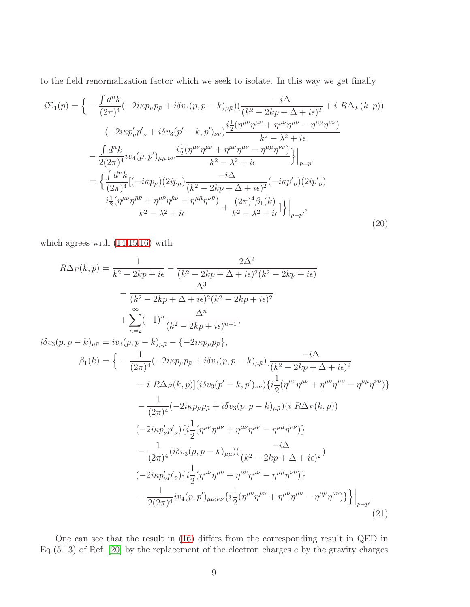to the field renormalization factor which we seek to isolate. In this way we get finally

$$
i\Sigma_{1}(p) = \left\{ -\frac{\int d^{n}k}{(2\pi)^{4}} (-2i\kappa p_{\mu}p_{\bar{\mu}} + i\delta v_{3}(p, p - k)_{\mu\bar{\mu}}) (\frac{-i\Delta}{(k^{2} - 2kp + \Delta + i\epsilon)^{2}} + i R\Delta_{F}(k, p)) \right. \\ \left. (-2i\kappa p'_{\nu}p'_{\bar{\nu}} + i\delta v_{3}(p' - k, p')_{\nu\bar{\nu}}) \frac{i\frac{1}{2}(\eta^{\mu\nu}\eta^{\bar{\mu}\bar{\nu}} + \eta^{\mu\bar{\nu}}\eta^{\bar{\mu}\nu} - \eta^{\mu\bar{\mu}}\eta^{\nu\bar{\nu}})}{k^{2} - \lambda^{2} + i\epsilon} - \frac{\int d^{n}k}{2(2\pi)^{4}} i v_{4}(p, p')_{\mu\bar{\mu};\nu\bar{\nu}} \frac{i\frac{1}{2}(\eta^{\mu\nu}\eta^{\bar{\mu}\bar{\nu}} + \eta^{\mu\bar{\nu}}\eta^{\bar{\mu}\nu} - \eta^{\mu\bar{\mu}}\eta^{\nu\bar{\nu}})}{k^{2} - \lambda^{2} + i\epsilon} \right\}|_{p=p'} \\ = \left\{ \frac{\int d^{n}k}{(2\pi)^{4}} [(-i\kappa p_{\bar{\mu}})(2ip_{\mu}) \frac{-i\Delta}{(k^{2} - 2kp + \Delta + i\epsilon)^{2}} (-i\kappa p'_{\bar{\nu}})(2ip'_{\nu}) \right. \\ \left. \frac{i\frac{1}{2}(\eta^{\mu\nu}\eta^{\bar{\mu}\bar{\nu}} + \eta^{\mu\bar{\nu}}\eta^{\bar{\mu}\nu} - \eta^{\mu\bar{\mu}}\eta^{\nu\bar{\nu}})}{k^{2} - \lambda^{2} + i\epsilon} + \frac{(2\pi)^{4}\beta_{1}(k)}{k^{2} - \lambda^{2} + i\epsilon} \right\}|_{p=p'} , \tag{20}
$$

which agrees with [\(14,](#page-7-1)[15,](#page-7-2)[16\)](#page-7-3) with

$$
R\Delta_{F}(k, p) = \frac{1}{k^{2} - 2kp + i\epsilon} - \frac{2\Delta^{2}}{(k^{2} - 2kp + \Delta + i\epsilon)^{2}(k^{2} - 2kp + i\epsilon)}
$$
  
\n
$$
- \frac{\Delta^{3}}{(k^{2} - 2kp + \Delta + i\epsilon)^{2}(k^{2} - 2kp + i\epsilon)^{2}}
$$
  
\n
$$
+ \sum_{n=2}^{\infty} (-1)^{n} \frac{\Delta^{n}}{(k^{2} - 2kp + i\epsilon)^{n+1}},
$$
  
\n
$$
i\delta v_{3}(p, p - k)_{\mu\bar{\mu}} = iv_{3}(p, p - k)_{\mu\bar{\mu}} - \{-2ikp_{\mu}p_{\bar{\mu}}\},
$$
  
\n
$$
\beta_{1}(k) = \left\{-\frac{1}{(2\pi)^{4}}(-2ikp_{\mu}p_{\bar{\mu}} + i\delta v_{3}(p, p - k)_{\mu\bar{\mu}})\left[\frac{-i\Delta}{(k^{2} - 2kp + \Delta + i\epsilon)^{2}} + iR\Delta_{F}(k, p)\right](i\delta v_{3}(p' - k, p')_{\nu\bar{\nu}})\left\{i\frac{1}{2}(\eta^{\mu\nu}\eta^{\bar{\mu}\bar{\nu}} + \eta^{\mu\bar{\nu}}\eta^{\bar{\mu}\nu} - \eta^{\mu\bar{\mu}}\eta^{\nu\bar{\nu}})\right\}
$$
  
\n
$$
- \frac{1}{(2\pi)^{4}}(-2ikp_{\mu}p_{\bar{\mu}} + i\delta v_{3}(p, p - k)_{\mu\bar{\mu}})(iR\Delta_{F}(k, p))
$$
  
\n
$$
(-2ikp'_{\nu}p'_{\nu})\left\{i\frac{1}{2}(\eta^{\mu\nu}\eta^{\bar{\mu}\bar{\nu}} + \eta^{\mu\bar{\nu}}\eta^{\bar{\mu}\nu} - \eta^{\mu\bar{\mu}}\eta^{\nu\bar{\nu}})\right\}
$$
  
\n
$$
- \frac{1}{(2\pi)^{4}}(i\delta v_{3}(p, p - k)_{\mu\bar{\mu}})(\frac{-i\Delta}{(k^{2} - 2kp + \Delta + i\epsilon)^{2}})
$$
  
\n
$$
(-2ikp'_{\nu}p'_{\nu})\left\{i\frac{1}{
$$

One can see that the result in [\(16\)](#page-7-3) differs from the corresponding result in QED in Eq.  $(5.13)$  of Ref. [\[20\]](#page-34-1) by the replacement of the electron charges e by the gravity charges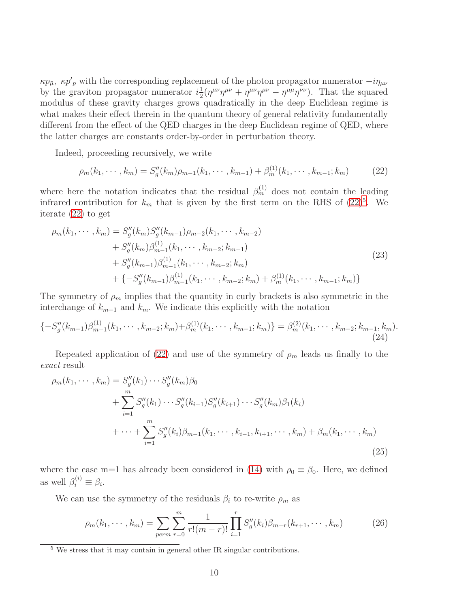$\kappa p_{\bar{\mu}}, \ \kappa p'_{\bar{\nu}}$  with the corresponding replacement of the photon propagator numerator  $-i\eta_{\mu\nu}$ by the graviton propagator numerator  $i\frac{1}{2}$  $\frac{1}{2}(\eta^{\mu\nu}\eta^{\bar{\mu}\bar{\nu}} + \eta^{\mu\bar{\nu}}\eta^{\bar{\mu}\nu} - \eta^{\mu\bar{\mu}}\eta^{\nu\bar{\nu}})$ . That the squared modulus of these gravity charges grows quadratically in the deep Euclidean regime is what makes their effect therein in the quantum theory of general relativity fundamentally different from the effect of the QED charges in the deep Euclidean regime of QED, where the latter charges are constants order-by-order in perturbation theory.

Indeed, proceeding recursively, we write

<span id="page-10-0"></span>
$$
\rho_m(k_1, \cdots, k_m) = S_g''(k_m)\rho_{m-1}(k_1, \cdots, k_{m-1}) + \beta_m^{(1)}(k_1, \cdots, k_{m-1}; k_m)
$$
 (22)

where here the notation indicates that the residual  $\beta_m^{(1)}$  does not contain the leading infrared contribution for  $k_m$  that is given by the first term on the RHS of  $(22)^5$  $(22)^5$ . We iterate [\(22\)](#page-10-0) to get

$$
\rho_m(k_1, \dots, k_m) = S_g''(k_m) S_g''(k_{m-1}) \rho_{m-2}(k_1, \dots, k_{m-2}) \n+ S_g''(k_m) \beta_{m-1}^{(1)}(k_1, \dots, k_{m-2}; k_{m-1}) \n+ S_g''(k_{m-1}) \beta_{m-1}^{(1)}(k_1, \dots, k_{m-2}; k_m) \n+ \{-S_g''(k_{m-1}) \beta_{m-1}^{(1)}(k_1, \dots, k_{m-2}; k_m) + \beta_m^{(1)}(k_1, \dots, k_{m-1}; k_m) \}
$$
\n(23)

The symmetry of  $\rho_m$  implies that the quantity in curly brackets is also symmetric in the interchange of  $k_{m-1}$  and  $k_m$ . We indicate this explicitly with the notation

$$
\{-S''_g(k_{m-1})\beta_{m-1}^{(1)}(k_1,\cdots,k_{m-2};k_m)+\beta_m^{(1)}(k_1,\cdots,k_{m-1};k_m)\}=\beta_m^{(2)}(k_1,\cdots,k_{m-2};k_{m-1},k_m).
$$
\n(24)

Repeated application of [\(22\)](#page-10-0) and use of the symmetry of  $\rho_m$  leads us finally to the exact result

$$
\rho_m(k_1, \dots, k_m) = S_g''(k_1) \dots S_g''(k_m) \beta_0 \n+ \sum_{i=1}^m S_g''(k_1) \dots S_g''(k_{i-1}) S_g''(k_{i+1}) \dots S_g''(k_m) \beta_1(k_i) \n+ \dots + \sum_{i=1}^m S_g''(k_i) \beta_{m-1}(k_1, \dots, k_{i-1}, k_{i+1}, \dots, k_m) + \beta_m(k_1, \dots, k_m)
$$
\n(25)

where the case m=1 has already been considered in [\(14\)](#page-7-1) with  $\rho_0 \equiv \beta_0$ . Here, we defined as well  $\beta_i^{(i)} \equiv \beta_i$ .

We can use the symmetry of the residuals  $\beta_i$  to re-write  $\rho_m$  as

$$
\rho_m(k_1, \cdots, k_m) = \sum_{perm} \sum_{r=0}^m \frac{1}{r!(m-r)!} \prod_{i=1}^r S_g''(k_i) \beta_{m-r}(k_{r+1}, \cdots, k_m)
$$
(26)

<span id="page-10-1"></span><sup>&</sup>lt;sup>5</sup> We stress that it may contain in general other IR singular contributions.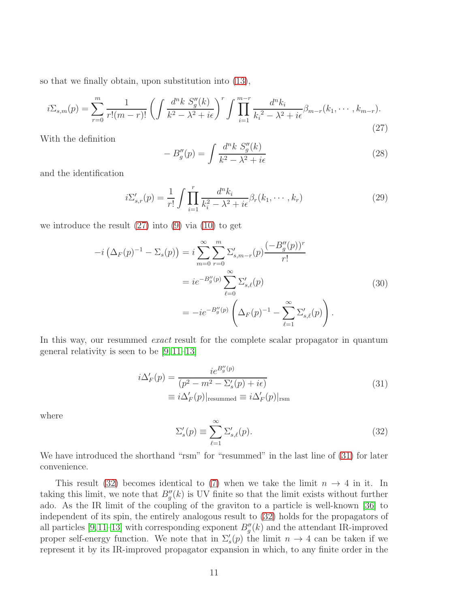so that we finally obtain, upon substitution into [\(13\)](#page-7-0),

<span id="page-11-0"></span>
$$
i\Sigma_{s,m}(p) = \sum_{r=0}^{m} \frac{1}{r!(m-r)!} \left( \int \frac{d^n k \ S_g''(k)}{k^2 - \lambda^2 + i\epsilon} \right)^r \int \prod_{i=1}^{m-r} \frac{d^n k_i}{k_i^2 - \lambda^2 + i\epsilon} \beta_{m-r}(k_1, \cdots, k_{m-r}).
$$
\n(27)

With the definition

<span id="page-11-3"></span>
$$
-B_g''(p) = \int \frac{d^n k S_g''(k)}{k^2 - \lambda^2 + i\epsilon} \tag{28}
$$

and the identification

$$
i\Sigma'_{s,r}(p) = \frac{1}{r!} \int \prod_{i=1}^r \frac{d^n k_i}{k_i^2 - \lambda^2 + i\epsilon} \beta_r(k_1, \cdots, k_r)
$$
 (29)

we introduce the result [\(27\)](#page-11-0) into [\(9\)](#page-6-1) via [\(10\)](#page-6-2) to get

$$
-i\left(\Delta_F(p)^{-1} - \Sigma_s(p)\right) = i \sum_{m=0}^{\infty} \sum_{r=0}^{m} \Sigma'_{s,m-r}(p) \frac{(-B''_g(p))^r}{r!}
$$
  

$$
= ie^{-B''_g(p)} \sum_{\ell=0}^{\infty} \Sigma'_{s,\ell}(p)
$$
  

$$
= -ie^{-B''_g(p)} \left(\Delta_F(p)^{-1} - \sum_{\ell=1}^{\infty} \Sigma'_{s,\ell}(p)\right).
$$
 (30)

In this way, our resummed *exact* result for the complete scalar propagator in quantum general relativity is seen to be [\[9,](#page-33-4) [11–](#page-33-6)[13\]](#page-33-7)

$$
i\Delta'_F(p) = \frac{ie^{B''_g(p)}}{(p^2 - m^2 - \Sigma'_s(p) + i\epsilon)}
$$
  
\n
$$
\equiv i\Delta'_F(p)|_{\text{resummed}} \equiv i\Delta'_F(p)|_{\text{rsm}}
$$
\n(31)

<span id="page-11-1"></span>where

<span id="page-11-2"></span>
$$
\Sigma_s'(p) \equiv \sum_{\ell=1}^{\infty} \Sigma_{s,\ell}'(p). \tag{32}
$$

We have introduced the shorthand "rsm" for "resummed" in the last line of  $(31)$  for later convenience.

This result [\(32\)](#page-11-2) becomes identical to [\(7\)](#page-5-1) when we take the limit  $n \to 4$  in it. In taking this limit, we note that  $B_g''(k)$  is UV finite so that the limit exists without further ado. As the IR limit of the coupling of the graviton to a particle is well-known [\[36\]](#page-35-0) to independent of its spin, the entirely analogous result to [\(32\)](#page-11-2) holds for the propagators of all particles [\[9,](#page-33-4)[11](#page-33-6)[–13\]](#page-33-7) with corresponding exponent  $B''_g(k)$  and the attendant IR-improved proper self-energy function. We note that in  $\Sigma'_{s}(p)$  the limit  $n \to 4$  can be taken if we represent it by its IR-improved propagator expansion in which, to any finite order in the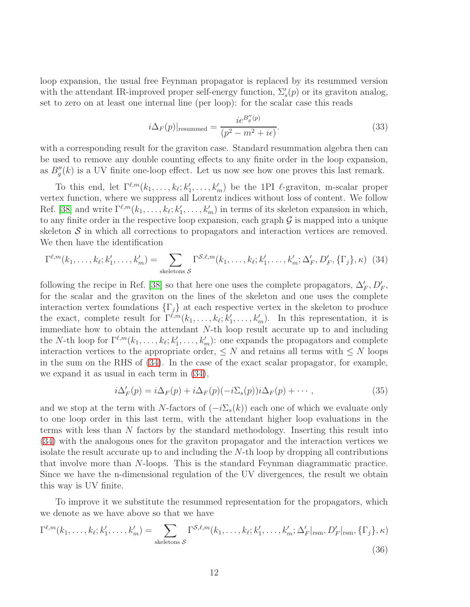loop expansion, the usual free Feynman propagator is replaced by its resummed version with the attendant IR-improved proper self-energy function,  $\Sigma_s'(p)$  or its graviton analog, set to zero on at least one internal line (per loop): for the scalar case this reads

$$
i\Delta_F(p)|_{\text{resummed}} = \frac{ie^{B''_g(p)}}{(p^2 - m^2 + i\epsilon)}.
$$
\n(33)

with a corresponding result for the graviton case. Standard resummation algebra then can be used to remove any double counting effects to any finite order in the loop expansion, as  $B''_g(k)$  is a UV finite one-loop effect. Let us now see how one proves this last remark.

To this end, let  $\Gamma^{\ell,m}(k_1,\ldots,k_\ell;k'_1,\ldots,k'_m)$  be the 1PI  $\ell$ -graviton, m-scalar proper vertex function, where we suppress all Lorentz indices without loss of content. We follow Ref. [\[38\]](#page-35-2) and write  $\Gamma^{\ell,m}(k_1,\ldots,k_\ell;k'_1,\ldots,k'_m)$  in terms of its skeleton expansion in which, to any finite order in the respective loop expansion, each graph  $\mathcal G$  is mapped into a unique skeleton  $S$  in which all corrections to propagators and interaction vertices are removed. We then have the identification

<span id="page-12-0"></span>
$$
\Gamma^{\ell,m}(k_1,\ldots,k_\ell;k'_1,\ldots,k'_m) = \sum_{\text{skeletons }\mathcal{S}} \Gamma^{\mathcal{S},\ell,m}(k_1,\ldots,k_\ell;k'_1,\ldots,k'_m;\Delta'_F,D'_F,\{\Gamma_j\},\kappa) \tag{34}
$$

following the recipe in Ref. [\[38\]](#page-35-2) so that here one uses the complete propagators,  $\Delta'_F$ ,  $D'_F$ , for the scalar and the graviton on the lines of the skeleton and one uses the complete interaction vertex foundations  $\{\Gamma_i\}$  at each respective vertex in the skeleton to produce the exact, complete result for  $\Gamma^{\ell,m}(k_1,\ldots,k_\ell;k'_1,\ldots,k'_m)$ . In this representation, it is immediate how to obtain the attendant N-th loop result accurate up to and including the N-th loop for  $\Gamma^{\ell,m}(k_1,\ldots,k_\ell;k'_1,\ldots,k'_m)$ : one expands the propagators and complete interaction vertices to the appropriate order,  $\leq N$  and retains all terms with  $\leq N$  loops in the sum on the RHS of [\(34\)](#page-12-0). In the case of the exact scalar propagator, for example, we expand it as usual in each term in [\(34\)](#page-12-0),

$$
i\Delta'_F(p) = i\Delta_F(p) + i\Delta_F(p)(-i\Sigma_s(p))i\Delta_F(p) + \cdots,
$$
\n(35)

and we stop at the term with N-factors of  $(-i\Sigma_s(k))$  each one of which we evaluate only to one loop order in this last term, with the attendant higher loop evaluations in the terms with less than N factors by the standard methodology. Inserting this result into [\(34\)](#page-12-0) with the analogous ones for the graviton propagator and the interaction vertices we isolate the result accurate up to and including the N-th loop by dropping all contributions that involve more than N-loops. This is the standard Feynman diagrammatic practice. Since we have the n-dimensional regulation of the UV divergences, the result we obtain this way is UV finite.

To improve it we substitute the resummed representation for the propagators, which we denote as we have above so that we have

<span id="page-12-1"></span>
$$
\Gamma^{\ell,m}(k_1,\ldots,k_\ell;k'_1,\ldots,k'_m) = \sum_{\text{skeletons }\mathcal{S}} \Gamma^{\mathcal{S},\ell,m}(k_1,\ldots,k_\ell;k'_1,\ldots,k'_m;\Delta'_F|_{\text{rsm}},D'_F|_{\text{rsm}},\{\Gamma_j\},\kappa)
$$
(36)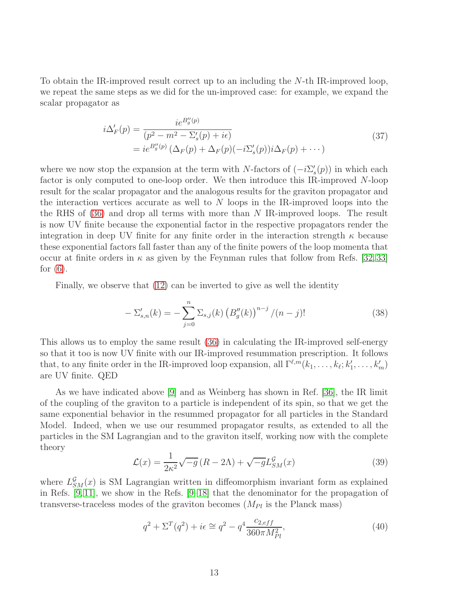To obtain the IR-improved result correct up to an including the N-th IR-improved loop, we repeat the same steps as we did for the un-improved case: for example, we expand the scalar propagator as

$$
i\Delta'_F(p) = \frac{ie^{B''_g(p)}}{(p^2 - m^2 - \Sigma'_s(p) + i\epsilon)}
$$
  
=  $ie^{B''_g(p)} (\Delta_F(p) + \Delta_F(p)(-i\Sigma'_s(p))i\Delta_F(p) + \cdots)$  (37)

where we now stop the expansion at the term with N-factors of  $(-i\Sigma_s'(p))$  in which each factor is only computed to one-loop order. We then introduce this IR-improved N-loop result for the scalar propagator and the analogous results for the graviton propagator and the interaction vertices accurate as well to  $N$  loops in the IR-improved loops into the the RHS of  $(36)$  and drop all terms with more than N IR-improved loops. The result is now UV finite because the exponential factor in the respective propagators render the integration in deep UV finite for any finite order in the interaction strength  $\kappa$  because these exponential factors fall faster than any of the finite powers of the loop momenta that occur at finite orders in  $\kappa$  as given by the Feynman rules that follow from Refs. [\[32,](#page-34-13) [33\]](#page-34-14) for  $(6)$ .

Finally, we observe that [\(12\)](#page-6-0) can be inverted to give as well the identity

$$
-\Sigma'_{s,n}(k) = -\sum_{j=0}^{n} \Sigma_{s,j}(k) \left( B_g''(k) \right)^{n-j} / (n-j)!
$$
 (38)

This allows us to employ the same result [\(36\)](#page-12-1) in calculating the IR-improved self-energy so that it too is now UV finite with our IR-improved resummation prescription. It follows that, to any finite order in the IR-improved loop expansion, all  $\Gamma^{\ell,m}(k_1,\ldots,k_\ell;k'_1,\ldots,k'_m)$ are UV finite. QED

As we have indicated above [\[9\]](#page-33-4) and as Weinberg has shown in Ref. [\[36\]](#page-35-0), the IR limit of the coupling of the graviton to a particle is independent of its spin, so that we get the same exponential behavior in the resummed propagator for all particles in the Standard Model. Indeed, when we use our resummed propagator results, as extended to all the particles in the SM Lagrangian and to the graviton itself, working now with the complete theory

$$
\mathcal{L}(x) = \frac{1}{2\kappa^2} \sqrt{-g} \left( R - 2\Lambda \right) + \sqrt{-g} L_{SM}^{\mathcal{G}}(x) \tag{39}
$$

where  $L_{SM}^{\mathcal{G}}(x)$  is SM Lagrangian written in diffeomorphism invariant form as explained in Refs. [\[9,](#page-33-4) [11\]](#page-33-6), we show in the Refs. [\[9](#page-33-4)[–18\]](#page-33-5) that the denominator for the propagation of transverse-traceless modes of the graviton becomes  $(M_{Pl}$  is the Planck mass)

<span id="page-13-0"></span>
$$
q^{2} + \Sigma^{T}(q^{2}) + i\epsilon \cong q^{2} - q^{4} \frac{c_{2,eff}}{360\pi M_{Pl}^{2}},
$$
\n(40)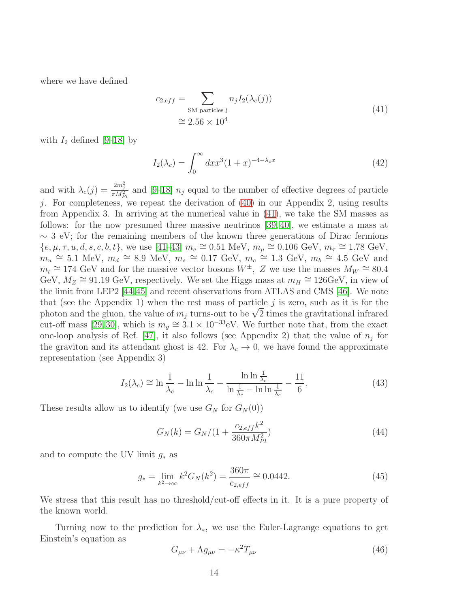<span id="page-14-0"></span>where we have defined

$$
c_{2,eff} = \sum_{\text{SM particles }j} n_j I_2(\lambda_c(j))
$$
  

$$
\approx 2.56 \times 10^4
$$
 (41)

with  $I_2$  defined [\[9](#page-33-4)[–18\]](#page-33-5) by

$$
I_2(\lambda_c) = \int_0^\infty dx x^3 (1+x)^{-4-\lambda_c x} \tag{42}
$$

and with  $\lambda_c(j) = \frac{2m_j^2}{\pi M_{Pl}^2}$  and [\[9](#page-33-4)[–18\]](#page-33-5)  $n_j$  equal to the number of effective degrees of particle j. For completeness, we repeat the derivation of [\(40\)](#page-13-0) in our Appendix 2, using results from Appendix 3. In arriving at the numerical value in [\(41\)](#page-14-0), we take the SM masses as follows: for the now presumed three massive neutrinos [\[39,](#page-35-3) [40\]](#page-35-4), we estimate a mass at  $\sim$  3 eV; for the remaining members of the known three generations of Dirac fermions  ${e, \mu, \tau, u, d, s, c, b, t}$ , we use [\[41–](#page-35-5)[43\]](#page-35-6)  $m_e \cong 0.51 \text{ MeV}, m_\mu \cong 0.106 \text{ GeV}, m_\tau \cong 1.78 \text{ GeV},$  $m_u \approx 5.1$  MeV,  $m_d \approx 8.9$  MeV,  $m_s \approx 0.17$  GeV,  $m_c \approx 1.3$  GeV,  $m_b \approx 4.5$  GeV and  $m_t \approx 174 \text{ GeV}$  and for the massive vector bosons  $W^{\pm}$ , Z we use the masses  $M_W \approx 80.4$ GeV,  $M_Z \cong 91.19 \text{ GeV}$ , respectively. We set the Higgs mass at  $m_H \cong 126 \text{ GeV}$ , in view of the limit from LEP2 [\[44,](#page-35-7)[45\]](#page-35-8) and recent observations from ATLAS and CMS [\[46\]](#page-35-9). We note that (see the Appendix 1) when the rest mass of particle  $j$  is zero, such as it is for the photon and the gluon, the value of  $m_j$  turns-out to be  $\sqrt{2}$  times the gravitational infrared cut-off mass [\[29,](#page-34-10) [30\]](#page-34-11), which is  $m_g \approx 3.1 \times 10^{-33}$  eV. We further note that, from the exact one-loop analysis of Ref. [\[47\]](#page-35-10), it also follows (see Appendix 2) that the value of  $n_j$  for the graviton and its attendant ghost is 42. For  $\lambda_c \rightarrow 0$ , we have found the approximate representation (see Appendix 3)

$$
I_2(\lambda_c) \cong \ln \frac{1}{\lambda_c} - \ln \ln \frac{1}{\lambda_c} - \frac{\ln \ln \frac{1}{\lambda_c}}{\ln \frac{1}{\lambda_c} - \ln \ln \frac{1}{\lambda_c}} - \frac{11}{6}.\tag{43}
$$

These results allow us to identify (we use  $G_N$  for  $G_N(0)$ )

$$
G_N(k) = G_N/(1 + \frac{c_{2,eff}k^2}{360\pi M_{Pl}^2})
$$
\n(44)

and to compute the UV limit  $g_*$  as

$$
g_* = \lim_{k^2 \to \infty} k^2 G_N(k^2) = \frac{360\pi}{c_{2,eff}} \cong 0.0442. \tag{45}
$$

We stress that this result has no threshold/cut-off effects in it. It is a pure property of the known world.

Turning now to the prediction for  $\lambda_{*}$ , we use the Euler-Lagrange equations to get Einstein's equation as

<span id="page-14-1"></span>
$$
G_{\mu\nu} + \Lambda g_{\mu\nu} = -\kappa^2 T_{\mu\nu} \tag{46}
$$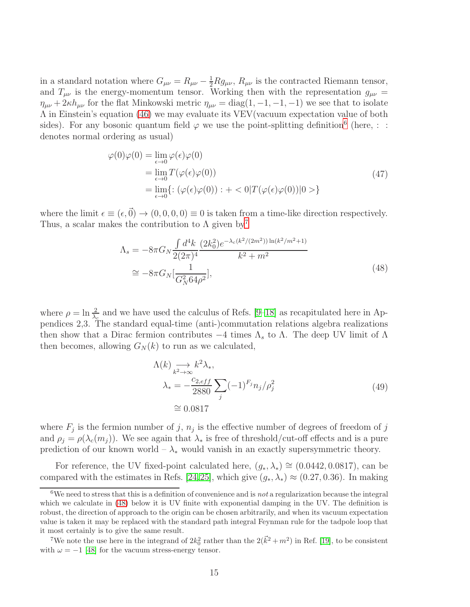in a standard notation where  $G_{\mu\nu} = R_{\mu\nu} - \frac{1}{2} R g_{\mu\nu}$ ,  $R_{\mu\nu}$  is the contracted Riemann tensor, and  $T_{\mu\nu}$  is the energy-momentum tensor. Working then with the representation  $g_{\mu\nu} =$  $\eta_{\mu\nu} + 2\kappa h_{\mu\nu}$  for the flat Minkowski metric  $\eta_{\mu\nu} = \text{diag}(1, -1, -1, -1)$  we see that to isolate Λ in Einstein's equation [\(46\)](#page-14-1) we may evaluate its VEV(vacuum expectation value of both sides). For any bosonic quantum field  $\varphi$  we use the point-splitting definition<sup>[6](#page-15-0)</sup> (here, : : denotes normal ordering as usual)

$$
\varphi(0)\varphi(0) = \lim_{\epsilon \to 0} \varphi(\epsilon)\varphi(0)
$$
  
= 
$$
\lim_{\epsilon \to 0} T(\varphi(\epsilon)\varphi(0))
$$
  
= 
$$
\lim_{\epsilon \to 0} \{ : (\varphi(\epsilon)\varphi(0)) : + <0 | T(\varphi(\epsilon)\varphi(0)) | 0 > \}
$$
 (47)

where the limit  $\epsilon \equiv (\epsilon, \vec{0}) \rightarrow (0, 0, 0, 0) \equiv 0$  is taken from a time-like direction respectively. Thus, a scalar makes the contribution to  $\Lambda$  given by<sup>[7](#page-15-1)</sup>

$$
\Lambda_s = -8\pi G_N \frac{\int d^4k}{2(2\pi)^4} \frac{(2k_0^2)e^{-\lambda_c(k^2/(2m^2))\ln(k^2/m^2+1)}}{k^2+m^2}
$$
  
\n
$$
\approx -8\pi G_N \left[\frac{1}{G_N^2 64\rho^2}\right],
$$
\n(48)

<span id="page-15-2"></span>where  $\rho = \ln \frac{2}{\lambda_c}$  and we have used the calculus of Refs. [\[9–](#page-33-4)[18\]](#page-33-5) as recapitulated here in Appendices 2,3. The standard equal-time (anti-)commutation relations algebra realizations then show that a Dirac fermion contributes  $-4$  times  $\Lambda_s$  to  $\Lambda$ . The deep UV limit of  $\Lambda$ then becomes, allowing  $G_N(k)$  to run as we calculated,

$$
\Lambda(k) \underset{k^2 \to \infty}{\longrightarrow} k^2 \lambda_*,
$$
  
\n
$$
\lambda_* = -\frac{c_{2,eff}}{2880} \sum_j (-1)^{F_j} n_j / \rho_j^2
$$
  
\n
$$
\approx 0.0817
$$
\n(49)

where  $F_j$  is the fermion number of j,  $n_j$  is the effective number of degrees of freedom of j and  $\rho_i = \rho(\lambda_c(m_i))$ . We see again that  $\lambda_*$  is free of threshold/cut-off effects and is a pure prediction of our known world –  $\lambda_*$  would vanish in an exactly supersymmetric theory.

For reference, the UV fixed-point calculated here,  $(g_*, \lambda_*) \cong (0.0442, 0.0817)$ , can be compared with the estimates in Refs. [\[24,](#page-34-4)[25\]](#page-34-5), which give  $(q_*, \lambda_*) \approx (0.27, 0.36)$ . In making

<span id="page-15-0"></span><sup>&</sup>lt;sup>6</sup>We need to stress that this is a definition of convenience and is *not* a regularization because the integral which we calculate in [\(48\)](#page-15-2) below it is UV finite with exponential damping in the UV. The definition is robust, the direction of approach to the origin can be chosen arbitrarily, and when its vacuum expectation value is taken it may be replaced with the standard path integral Feynman rule for the tadpole loop that it most certainly is to give the same result.

<span id="page-15-1"></span><sup>&</sup>lt;sup>7</sup>We note the use here in the integrand of  $2k_0^2$  rather than the  $2(\vec{k}^2 + m^2)$  in Ref. [\[19\]](#page-34-0), to be consistent with  $\omega = -1$  [\[48\]](#page-35-11) for the vacuum stress-energy tensor.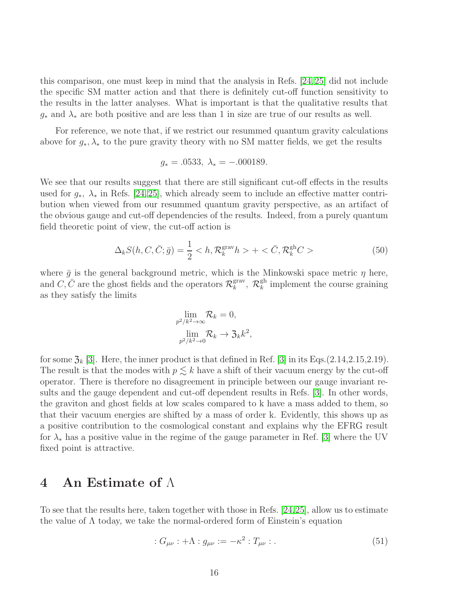this comparison, one must keep in mind that the analysis in Refs. [\[24,](#page-34-4)[25\]](#page-34-5) did not include the specific SM matter action and that there is definitely cut-off function sensitivity to the results in the latter analyses. What is important is that the qualitative results that  $g_*$  and  $\lambda_*$  are both positive and are less than 1 in size are true of our results as well.

For reference, we note that, if we restrict our resummed quantum gravity calculations above for  $g_*, \lambda_*$  to the pure gravity theory with no SM matter fields, we get the results

$$
g_* = .0533, \ \lambda_* = -.000189.
$$

We see that our results suggest that there are still significant cut-off effects in the results used for  $g_*$ ,  $\lambda_*$  in Refs. [\[24,](#page-34-4) [25\]](#page-34-5), which already seem to include an effective matter contribution when viewed from our resummed quantum gravity perspective, as an artifact of the obvious gauge and cut-off dependencies of the results. Indeed, from a purely quantum field theoretic point of view, the cut-off action is

$$
\Delta_k S(h, C, \bar{C}; \bar{g}) = \frac{1}{2} < h, \mathcal{R}_k^{\text{grav}} h > + < \bar{C}, \mathcal{R}_k^{\text{gh}} C > \tag{50}
$$

,

where  $\bar{g}$  is the general background metric, which is the Minkowski space metric  $\eta$  here, and  $C, \bar{C}$  are the ghost fields and the operators  $\mathcal{R}_k^{\text{grav}}$  $\mathcal{R}_k^{\text{grav}}, \ \mathcal{R}_k^{\text{gh}}$  $\frac{g_n}{k}$  implement the course graining as they satisfy the limits

$$
\lim_{p^2/k^2 \to \infty} \mathcal{R}_k = 0,
$$
  

$$
\lim_{p^2/k^2 \to 0} \mathcal{R}_k \to \mathfrak{Z}_k k^2
$$

for some  $\mathfrak{Z}_k$  [\[3\]](#page-33-8). Here, the inner product is that defined in Ref. [\[3\]](#page-33-8) in its Eqs.(2.14,2.15,2.19). The result is that the modes with  $p \leq k$  have a shift of their vacuum energy by the cut-off operator. There is therefore no disagreement in principle between our gauge invariant results and the gauge dependent and cut-off dependent results in Refs. [\[3\]](#page-33-8). In other words, the graviton and ghost fields at low scales compared to k have a mass added to them, so that their vacuum energies are shifted by a mass of order k. Evidently, this shows up as a positive contribution to the cosmological constant and explains why the EFRG result for  $\lambda_*$  has a positive value in the regime of the gauge parameter in Ref. [\[3\]](#page-33-8) where the UV fixed point is attractive.

#### 4 An Estimate of  $\Lambda$

To see that the results here, taken together with those in Refs. [\[24,](#page-34-4)[25\]](#page-34-5), allow us to estimate the value of  $\Lambda$  today, we take the normal-ordered form of Einstein's equation

$$
: G_{\mu\nu} : + \Lambda : g_{\mu\nu} := -\kappa^2 : T_{\mu\nu} : . \tag{51}
$$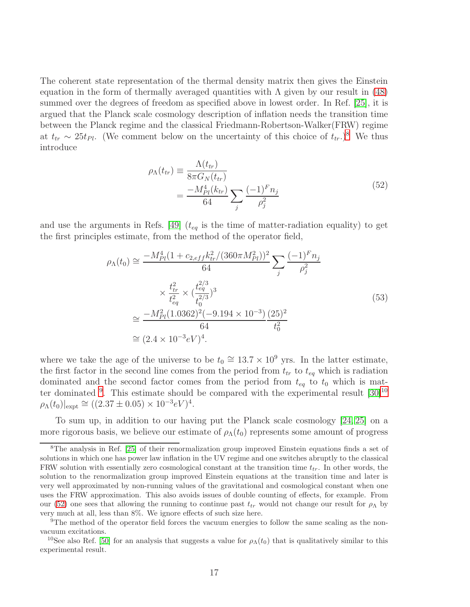The coherent state representation of the thermal density matrix then gives the Einstein equation in the form of thermally averaged quantities with  $\Lambda$  given by our result in [\(48\)](#page-15-2) summed over the degrees of freedom as specified above in lowest order. In Ref. [\[25\]](#page-34-5), it is argued that the Planck scale cosmology description of inflation needs the transition time between the Planck regime and the classical Friedmann-Robertson-Walker(FRW) regime at  $t_{tr} \sim 25t_{Pl}$ . (We comment below on the uncertainty of this choice of  $t_{tr}$ .)<sup>[8](#page-17-0)</sup> We thus introduce

$$
\rho_{\Lambda}(t_{tr}) \equiv \frac{\Lambda(t_{tr})}{8\pi G_N(t_{tr})} = \frac{-M_{Pl}^4(k_{tr})}{64} \sum_{j} \frac{(-1)^F n_j}{\rho_j^2}
$$
\n(52)

<span id="page-17-3"></span>and use the arguments in Refs. [\[49\]](#page-35-12)  $(t_{eq}$  is the time of matter-radiation equality) to get the first principles estimate, from the method of the operator field,

$$
\rho_{\Lambda}(t_0) \approx \frac{-M_{Pl}^4 (1 + c_{2,eff} k_{tr}^2 / (360 \pi M_{Pl}^2))^2}{64} \sum_j \frac{(-1)^F n_j}{\rho_j^2}
$$
  

$$
\times \frac{t_{tr}^2}{t_{eq}^2} \times (\frac{t_{eq}^{2/3}}{t_0^{2/3}})^3
$$
  

$$
\approx \frac{-M_{Pl}^2 (1.0362)^2 (-9.194 \times 10^{-3})}{64} \frac{(25)^2}{t_0^2}
$$
  

$$
\approx (2.4 \times 10^{-3} eV)^4.
$$
 (53)

<span id="page-17-4"></span>where we take the age of the universe to be  $t_0 \approx 13.7 \times 10^9$  yrs. In the latter estimate, the first factor in the second line comes from the period from  $t_{tr}$  to  $t_{eq}$  which is radiation dominated and the second factor comes from the period from  $t_{eq}$  to  $t_0$  which is mat-ter dominated <sup>[9](#page-17-1)</sup>. This estimate should be compared with the experimental result  $[30]$ <sup>[10](#page-17-2)</sup>  $\rho_{\Lambda}(t_0)|_{\rm expt} \cong ((2.37 \pm 0.05) \times 10^{-3} eV)^4.$ 

To sum up, in addition to our having put the Planck scale cosmology [\[24,](#page-34-4) [25\]](#page-34-5) on a more rigorous basis, we believe our estimate of  $\rho_{\Lambda}(t_0)$  represents some amount of progress

<span id="page-17-0"></span><sup>8</sup>The analysis in Ref. [\[25\]](#page-34-5) of their renormalization group improved Einstein equations finds a set of solutions in which one has power law inflation in the UV regime and one switches abruptly to the classical FRW solution with essentially zero cosmological constant at the transition time  $t_{tr}$ . In other words, the solution to the renormalization group improved Einstein equations at the transition time and later is very well approximated by non-running values of the gravitational and cosmological constant when one uses the FRW approximation. This also avoids issues of double counting of effects, for example. From our [\(52\)](#page-17-3) one sees that allowing the running to continue past  $t_{tr}$  would not change our result for  $\rho_{\Lambda}$  by very much at all, less than 8%. We ignore effects of such size here.

<span id="page-17-1"></span><sup>&</sup>lt;sup>9</sup>The method of the operator field forces the vacuum energies to follow the same scaling as the nonvacuum excitations.

<span id="page-17-2"></span><sup>&</sup>lt;sup>10</sup>See also Ref. [\[50\]](#page-35-13) for an analysis that suggests a value for  $\rho_{\Lambda}(t_0)$  that is qualitatively similar to this experimental result.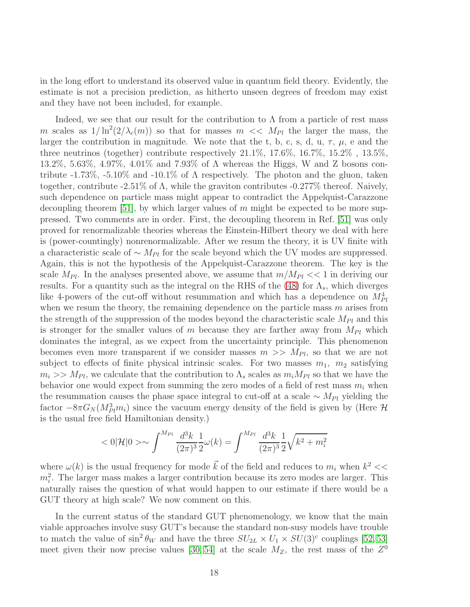in the long effort to understand its observed value in quantum field theory. Evidently, the estimate is not a precision prediction, as hitherto unseen degrees of freedom may exist and they have not been included, for example.

Indeed, we see that our result for the contribution to  $\Lambda$  from a particle of rest mass m scales as  $1/\ln^2(2/\lambda_c(m))$  so that for masses  $m \ll M_{Pl}$  the larger the mass, the larger the contribution in magnitude. We note that the t, b, c, s, d, u,  $\tau$ ,  $\mu$ , e and the three neutrinos (together) contribute respectively 21.1%, 17.6%, 16.7%, 15.2% , 13.5%, 13.2%, 5.63%, 4.97%, 4.01% and 7.93% of Λ whereas the Higgs, W and Z bosons contribute  $-1.73\%$ ,  $-5.10\%$  and  $-10.1\%$  of  $\Lambda$  respectively. The photon and the gluon, taken together, contribute -2.51% of  $\Lambda$ , while the graviton contributes -0.277% thereof. Naively, such dependence on particle mass might appear to contradict the Appelquist-Carazzone decoupling theorem [\[51\]](#page-35-14), by which larger values of  $m$  might be expected to be more suppressed. Two comments are in order. First, the decoupling theorem in Ref. [\[51\]](#page-35-14) was only proved for renormalizable theories whereas the Einstein-Hilbert theory we deal with here is (power-countingly) nonrenormalizable. After we resum the theory, it is UV finite with a characteristic scale of  $\sim M_{Pl}$  for the scale beyond which the UV modes are suppressed. Again, this is not the hypothesis of the Appelquist-Carazzone theorem. The key is the scale  $M_{Pl}$ . In the analyses presented above, we assume that  $m/M_{Pl} << 1$  in deriving our results. For a quantity such as the integral on the RHS of the [\(48\)](#page-15-2) for  $\Lambda_s$ , which diverges like 4-powers of the cut-off without resummation and which has a dependence on  $M_{Pl}^4$ when we resum the theory, the remaining dependence on the particle mass  $m$  arises from the strength of the suppression of the modes beyond the characteristic scale  $M_{Pl}$  and this is stronger for the smaller values of m because they are farther away from  $M_{Pl}$  which dominates the integral, as we expect from the uncertainty principle. This phenomenon becomes even more transparent if we consider masses  $m \gg M_{Pl}$ , so that we are not subject to effects of finite physical intrinsic scales. For two masses  $m_1$ ,  $m_2$  satisfying  $m_i >> M_{Pl}$ , we calculate that the contribution to  $\Lambda_s$  scales as  $m_i M_{Pl}$  so that we have the behavior one would expect from summing the zero modes of a field of rest mass  $m_i$  when the resummation causes the phase space integral to cut-off at a scale  $\sim M_{Pl}$  yielding the factor  $-8\pi G_N(M_{Pl}^3 m_i)$  since the vacuum energy density of the field is given by (Here  $\mathcal{H}$ is the usual free field Hamiltonian density.)

$$
<0|\mathcal{H}|0> \sim \int^{M_{Pl}} \frac{d^3k}{(2\pi)^3} \frac{1}{2}\omega(k) = \int^{M_{Pl}} \frac{d^3k}{(2\pi)^3} \frac{1}{2}\sqrt{k^2 + m_i^2}
$$

where  $\omega(k)$  is the usual frequency for mode  $\vec{k}$  of the field and reduces to  $m_i$  when  $k^2 <<$  $m_i^2$ . The larger mass makes a larger contribution because its zero modes are larger. This naturally raises the question of what would happen to our estimate if there would be a GUT theory at high scale? We now comment on this.

In the current status of the standard GUT phenomenology, we know that the main viable approaches involve susy GUT's because the standard non-susy models have trouble to match the value of  $\sin^2 \theta_W$  and have the three  $SU_{2L} \times U_1 \times SU(3)^c$  couplings [\[52,](#page-35-15) [53\]](#page-35-16) meet given their now precise values [\[30,](#page-34-11) [54\]](#page-36-0) at the scale  $M_Z$ , the rest mass of the  $Z^0$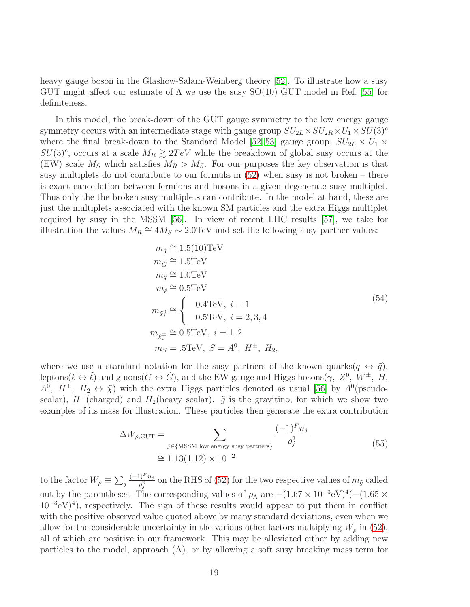heavy gauge boson in the Glashow-Salam-Weinberg theory [\[52\]](#page-35-15). To illustrate how a susy GUT might affect our estimate of  $\Lambda$  we use the susy SO(10) GUT model in Ref. [\[55\]](#page-36-1) for definiteness.

In this model, the break-down of the GUT gauge symmetry to the low energy gauge symmetry occurs with an intermediate stage with gauge group  $SU_{2L} \times SU_{2R} \times U_1 \times SU(3)^c$ where the final break-down to the Standard Model [\[52,](#page-35-15) [53\]](#page-35-16) gauge group,  $SU_{2L} \times U_1 \times$  $SU(3)^c$ , occurs at a scale  $M_R \gtrsim 2TeV$  while the breakdown of global susy occurs at the (EW) scale  $M_S$  which satisfies  $M_R > M_S$ . For our purposes the key observation is that susy multiplets do not contribute to our formula in [\(52\)](#page-17-3) when susy is not broken – there is exact cancellation between fermions and bosons in a given degenerate susy multiplet. Thus only the the broken susy multiplets can contribute. In the model at hand, these are just the multiplets associated with the known SM particles and the extra Higgs multiplet required by susy in the MSSM [\[56\]](#page-36-2). In view of recent LHC results [\[57\]](#page-36-3), we take for illustration the values  $M_R \cong 4M_S \sim 2.0$  TeV and set the following susy partner values:

$$
m_{\tilde{g}} \approx 1.5(10) \text{TeV}
$$
  
\n
$$
m_{\tilde{G}} \approx 1.5 \text{TeV}
$$
  
\n
$$
m_{\tilde{q}} \approx 1.0 \text{TeV}
$$
  
\n
$$
m_{\tilde{\ell}} \approx 0.5 \text{TeV}
$$
  
\n
$$
m_{\tilde{\chi}_i^0} \approx \begin{cases} 0.4 \text{TeV}, & i = 1 \\ 0.5 \text{TeV}, & i = 2, 3, 4 \end{cases}
$$
  
\n
$$
m_{\tilde{\chi}_i^{\pm}} \approx 0.5 \text{TeV}, \quad i = 1, 2
$$
  
\n
$$
m_S = .5 \text{TeV}, \quad S = A^0, \quad H^{\pm}, \quad H_2,
$$
\n(54)

where we use a standard notation for the susy partners of the known quarks $(q \leftrightarrow \tilde{q})$ , leptons( $\ell \leftrightarrow \tilde{\ell}$ ) and gluons( $G \leftrightarrow \tilde{G}$ ), and the EW gauge and Higgs bosons( $\gamma$ ,  $Z^0$ ,  $W^{\pm}$ ,  $H$ ,  $A^0$ ,  $H^{\pm}$ ,  $H_2 \leftrightarrow \tilde{\chi}$ ) with the extra Higgs particles denoted as usual [\[56\]](#page-36-2) by  $A^0$ (pseudoscalar),  $H^{\pm}$ (charged) and  $H_2$ (heavy scalar).  $\tilde{g}$  is the gravitino, for which we show two examples of its mass for illustration. These particles then generate the extra contribution

$$
\Delta W_{\rho, \text{GUT}} = \sum_{j \in \{\text{MSSM low energy susy partners}\}} \frac{(-1)^F n_j}{\rho_j^2}
$$
\n
$$
\approx 1.13(1.12) \times 10^{-2}
$$
\n(55)

to the factor  $W_{\rho} \equiv \sum_j$  $(-1)^F n_j$  $\frac{\rho_j-\eta_j}{\rho_j^2}$  on the RHS of [\(52\)](#page-17-3) for the two respective values of  $m_{\tilde{g}}$  called out by the parentheses. The corresponding values of  $\rho_{\Lambda}$  are  $-(1.67 \times 10^{-3} \text{eV})^4(-(1.65 \times 10^{-3} \text{eV})^4)$  $(10^{-3}$ eV $)^4$ ), respectively. The sign of these results would appear to put them in conflict with the positive observed value quoted above by many standard deviations, even when we allow for the considerable uncertainty in the various other factors multiplying  $W_{\rho}$  in [\(52\)](#page-17-3), all of which are positive in our framework. This may be alleviated either by adding new particles to the model, approach (A), or by allowing a soft susy breaking mass term for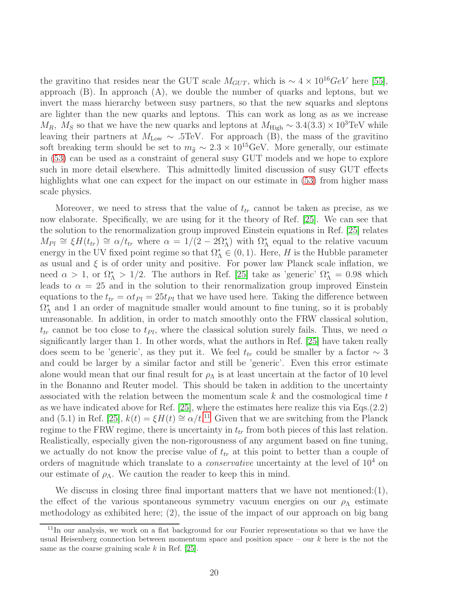the gravitino that resides near the GUT scale  $M_{GUT}$ , which is  $\sim 4 \times 10^{16} \text{GeV}$  here [\[55\]](#page-36-1), approach (B). In approach (A), we double the number of quarks and leptons, but we invert the mass hierarchy between susy partners, so that the new squarks and sleptons are lighter than the new quarks and leptons. This can work as long as as we increase  $M_R$ ,  $M_S$  so that we have the new quarks and leptons at  $M_{\text{High}} \sim 3.4(3.3) \times 10^3 \text{TeV}$  while leaving their partners at  $M_{\text{Low}} \sim .5 \text{TeV}$ . For approach (B), the mass of the gravitino soft breaking term should be set to  $m_{\tilde{q}} \sim 2.3 \times 10^{15} \text{GeV}$ . More generally, our estimate in [\(53\)](#page-17-4) can be used as a constraint of general susy GUT models and we hope to explore such in more detail elsewhere. This admittedly limited discussion of susy GUT effects highlights what one can expect for the impact on our estimate in  $(53)$  from higher mass scale physics.

Moreover, we need to stress that the value of  $t_{tr}$  cannot be taken as precise, as we now elaborate. Specifically, we are using for it the theory of Ref. [\[25\]](#page-34-5). We can see that the solution to the renormalization group improved Einstein equations in Ref. [\[25\]](#page-34-5) relates  $M_{Pl} \cong \xi H(t_{tr}) \cong \alpha/t_{tr}$  where  $\alpha = 1/(2-2\Omega_{\Lambda}^{*})$  with  $\Omega_{\Lambda}^{*}$  equal to the relative vacuum energy in the UV fixed point regime so that  $\Omega_{\Lambda}^* \in (0,1)$ . Here, H is the Hubble parameter as usual and  $\xi$  is of order unity and positive. For power law Planck scale inflation, we need  $\alpha > 1$ , or  $\Omega_{\Lambda}^* > 1/2$ . The authors in Ref. [\[25\]](#page-34-5) take as 'generic'  $\Omega_{\Lambda}^* = 0.98$  which leads to  $\alpha = 25$  and in the solution to their renormalization group improved Einstein equations to the  $t_{tr} = \alpha t_{Pl} = 25t_{Pl}$  that we have used here. Taking the difference between  $\Omega_{\Lambda}^*$  and 1 an order of magnitude smaller would amount to fine tuning, so it is probably unreasonable. In addition, in order to match smoothly onto the FRW classical solution,  $t_{tr}$  cannot be too close to  $t_{Pl}$ , where the classical solution surely fails. Thus, we need  $\alpha$ significantly larger than 1. In other words, what the authors in Ref. [\[25\]](#page-34-5) have taken really does seem to be 'generic', as they put it. We feel  $t_{tr}$  could be smaller by a factor  $\sim 3$ and could be larger by a similar factor and still be 'generic'. Even this error estimate alone would mean that our final result for  $\rho_{\Lambda}$  is at least uncertain at the factor of 10 level in the Bonanno and Reuter model. This should be taken in addition to the uncertainty associated with the relation between the momentum scale  $k$  and the cosmological time  $t$ as we have indicated above for Ref. [\[25\]](#page-34-5), where the estimates here realize this via Eqs.(2.2) and (5.1) in Ref. [\[25\]](#page-34-5),  $k(t) = \xi H(t) \cong \alpha/t^{11}$  $k(t) = \xi H(t) \cong \alpha/t^{11}$  $k(t) = \xi H(t) \cong \alpha/t^{11}$  Given that we are switching from the Planck regime to the FRW regime, there is uncertainty in  $t_{tr}$  from both pieces of this last relation. Realistically, especially given the non-rigorousness of any argument based on fine tuning, we actually do not know the precise value of  $t_{tr}$  at this point to better than a couple of orders of magnitude which translate to a *conservative* uncertainty at the level of  $10<sup>4</sup>$  on our estimate of  $\rho_{\Lambda}$ . We caution the reader to keep this in mind.

We discuss in closing three final important matters that we have not mentioned: $(1)$ , the effect of the various spontaneous symmetry vacuum energies on our  $\rho_{\Lambda}$  estimate methodology as exhibited here; (2), the issue of the impact of our approach on big bang

<span id="page-20-0"></span><sup>&</sup>lt;sup>11</sup>In our analysis, we work on a flat background for our Fourier representations so that we have the usual Heisenberg connection between momentum space and position space – our  $k$  here is the not the same as the coarse graining scale  $k$  in Ref. [\[25\]](#page-34-5).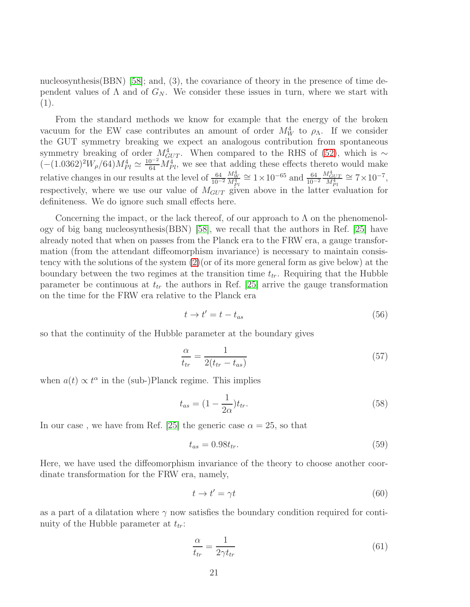nucleosynthesis(BBN) [\[58\]](#page-36-4); and, (3), the covariance of theory in the presence of time dependent values of  $\Lambda$  and of  $G_N$ . We consider these issues in turn, where we start with (1).

From the standard methods we know for example that the energy of the broken vacuum for the EW case contributes an amount of order  $M_W^4$  to  $\rho_{\Lambda}$ . If we consider the GUT symmetry breaking we expect an analogous contribution from spontaneous symmetry breaking of order  $M_{GUT}^4$ . When compared to the RHS of [\(52\)](#page-17-3), which is ∼  $(-(1.0362)^2W_\rho/64)M_{Pl}^4 \simeq \frac{10^{-2}}{64}M_{Pl}^4$ , we see that adding these effects thereto would make relative changes in our results at the level of  $\frac{64}{10^{-2}}$  $\frac{M_W^4}{M_{Pl}^4} \cong 1 \times 10^{-65}$  and  $\frac{64}{10^{-2}}$  $\frac{M_{GUT}^4}{M_{Pl}^4} \cong 7 \times 10^{-7},$ respectively, where we use our value of  $M_{GUT}$  given above in the latter evaluation for definiteness. We do ignore such small effects here.

Concerning the impact, or the lack thereof, of our approach to  $\Lambda$  on the phenomenology of big bang nucleosynthesis(BBN) [\[58\]](#page-36-4), we recall that the authors in Ref. [\[25\]](#page-34-5) have already noted that when on passes from the Planck era to the FRW era, a gauge transformation (from the attendant diffeomorphism invariance) is necessary to maintain consistency with the solutions of the system [\(2\)](#page-3-0)(or of its more general form as give below) at the boundary between the two regimes at the transition time  $t_{tr}$ . Requiring that the Hubble parameter be continuous at  $t_{tr}$  the authors in Ref. [\[25\]](#page-34-5) arrive the gauge transformation on the time for the FRW era relative to the Planck era

$$
t \to t' = t - t_{as} \tag{56}
$$

so that the continuity of the Hubble parameter at the boundary gives

$$
\frac{\alpha}{t_{tr}} = \frac{1}{2(t_{tr} - t_{as})} \tag{57}
$$

when  $a(t) \propto t^{\alpha}$  in the (sub-)Planck regime. This implies

$$
t_{as} = (1 - \frac{1}{2\alpha})t_{tr}.
$$
\n(58)

In our case, we have from Ref. [\[25\]](#page-34-5) the generic case  $\alpha = 25$ , so that

$$
t_{as} = 0.98t_{tr}.\tag{59}
$$

Here, we have used the diffeomorphism invariance of the theory to choose another coordinate transformation for the FRW era, namely,

$$
t \to t' = \gamma t \tag{60}
$$

as a part of a dilatation where  $\gamma$  now satisfies the boundary condition required for continuity of the Hubble parameter at  $t_{tr}$ :

$$
\frac{\alpha}{t_{tr}} = \frac{1}{2\gamma t_{tr}}\tag{61}
$$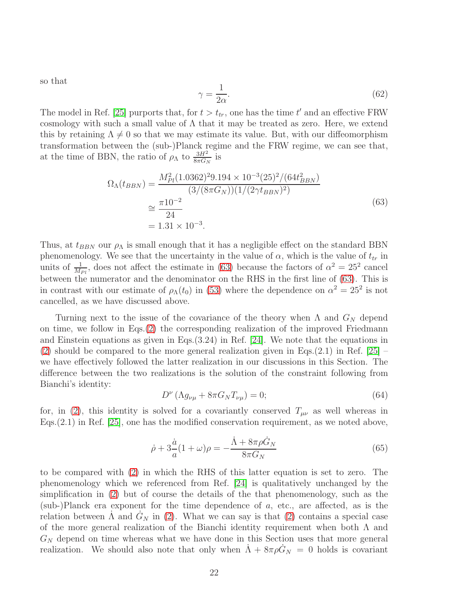so that

$$
\gamma = \frac{1}{2\alpha}.\tag{62}
$$

The model in Ref. [\[25\]](#page-34-5) purports that, for  $t > t_{tr}$ , one has the time  $t'$  and an effective FRW cosmology with such a small value of  $\Lambda$  that it may be treated as zero. Here, we extend this by retaining  $\Lambda \neq 0$  so that we may estimate its value. But, with our diffeomorphism transformation between the (sub-)Planck regime and the FRW regime, we can see that, at the time of BBN, the ratio of  $\rho_{\Lambda}$  to  $\frac{3H^2}{8\pi G_N}$  is

$$
\Omega_{\Lambda}(t_{BBN}) = \frac{M_{Pl}^2 (1.0362)^2 9.194 \times 10^{-3} (25)^2 / (64 t_{BBN}^2)}{(3/(8\pi G_N))(1/(2\gamma t_{BBN})^2)}
$$
  
\n
$$
\approx \frac{\pi 10^{-2}}{24}
$$
  
\n= 1.31 × 10<sup>-3</sup>. (63)

<span id="page-22-0"></span>Thus, at  $t_{BBN}$  our  $\rho_{\Lambda}$  is small enough that it has a negligible effect on the standard BBN phenomenology. We see that the uncertainty in the value of  $\alpha$ , which is the value of  $t_{tr}$  in units of  $\frac{1}{M_{Pl}}$ , does not affect the estimate in [\(63\)](#page-22-0) because the factors of  $\alpha^2 = 25^2$  cancel between the numerator and the denominator on the RHS in the first line of [\(63\)](#page-22-0). This is in contrast with our estimate of  $\rho_{\Lambda}(t_0)$  in [\(53\)](#page-17-4) where the dependence on  $\alpha^2 = 25^2$  is not cancelled, as we have discussed above.

Turning next to the issue of the covariance of the theory when  $\Lambda$  and  $G_N$  depend on time, we follow in Eqs.[\(2\)](#page-3-0) the corresponding realization of the improved Friedmann and Einstein equations as given in Eqs.(3.24) in Ref. [\[24\]](#page-34-4). We note that the equations in [\(2\)](#page-3-0) should be compared to the more general realization given in Eqs.(2.1) in Ref. [\[25\]](#page-34-5)  $$ we have effectively followed the latter realization in our discussions in this Section. The difference between the two realizations is the solution of the constraint following from Bianchi's identity:

$$
D^{\nu} \left( \Lambda g_{\nu\mu} + 8\pi G_N T_{\nu\mu} \right) = 0; \tag{64}
$$

for, in [\(2\)](#page-3-0), this identity is solved for a covariantly conserved  $T_{\mu\nu}$  as well whereas in Eqs.(2.1) in Ref. [\[25\]](#page-34-5), one has the modified conservation requirement, as we noted above,

$$
\dot{\rho} + 3\frac{\dot{a}}{a}(1+\omega)\rho = -\frac{\dot{\Lambda} + 8\pi\rho \dot{G}_N}{8\pi G_N} \tag{65}
$$

to be compared with [\(2\)](#page-3-0) in which the RHS of this latter equation is set to zero. The phenomenology which we referenced from Ref. [\[24\]](#page-34-4) is qualitatively unchanged by the simplification in [\(2\)](#page-3-0) but of course the details of the that phenomenology, such as the (sub-)Planck era exponent for the time dependence of a, etc., are affected, as is the relation between  $\Lambda$  and  $G_N$  in [\(2\)](#page-3-0). What we can say is that (2) contains a special case of the more general realization of the Bianchi identity requirement when both Λ and  $G_N$  depend on time whereas what we have done in this Section uses that more general realization. We should also note that only when  $\dot{\Lambda} + 8\pi \rho \dot{G}_N = 0$  holds is covariant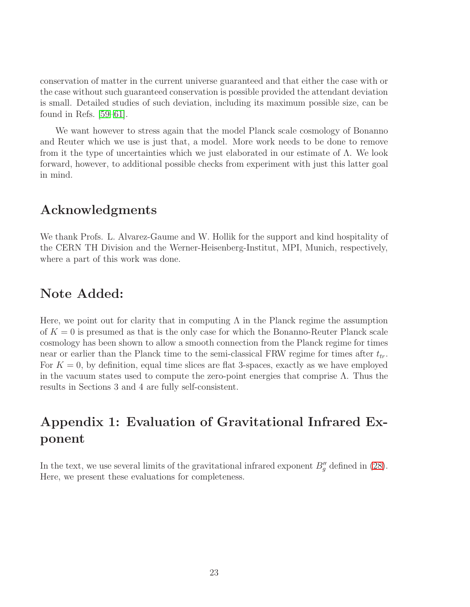conservation of matter in the current universe guaranteed and that either the case with or the case without such guaranteed conservation is possible provided the attendant deviation is small. Detailed studies of such deviation, including its maximum possible size, can be found in Refs. [\[59–](#page-36-5)[61\]](#page-36-6).

We want however to stress again that the model Planck scale cosmology of Bonanno and Reuter which we use is just that, a model. More work needs to be done to remove from it the type of uncertainties which we just elaborated in our estimate of  $\Lambda$ . We look forward, however, to additional possible checks from experiment with just this latter goal in mind.

# Acknowledgments

We thank Profs. L. Alvarez-Gaume and W. Hollik for the support and kind hospitality of the CERN TH Division and the Werner-Heisenberg-Institut, MPI, Munich, respectively, where a part of this work was done.

# Note Added:

Here, we point out for clarity that in computing  $\Lambda$  in the Planck regime the assumption of  $K = 0$  is presumed as that is the only case for which the Bonanno-Reuter Planck scale cosmology has been shown to allow a smooth connection from the Planck regime for times near or earlier than the Planck time to the semi-classical FRW regime for times after  $t_{tr}$ . For  $K = 0$ , by definition, equal time slices are flat 3-spaces, exactly as we have employed in the vacuum states used to compute the zero-point energies that comprise  $\Lambda$ . Thus the results in Sections 3 and 4 are fully self-consistent.

# Appendix 1: Evaluation of Gravitational Infrared Exponent

In the text, we use several limits of the gravitational infrared exponent  $B''_g$  defined in [\(28\)](#page-11-3). Here, we present these evaluations for completeness.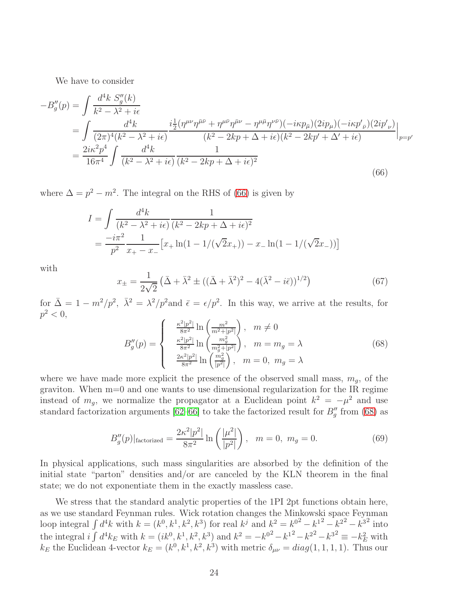We have to consider

<span id="page-24-0"></span>
$$
-B''_g(p) = \int \frac{d^4k \ S''_g(k)}{k^2 - \lambda^2 + i\epsilon}
$$
  
= 
$$
\int \frac{d^4k}{(2\pi)^4 (k^2 - \lambda^2 + i\epsilon)} \frac{i\frac{1}{2} (\eta^{\mu\nu} \eta^{\bar{\mu}\bar{\nu}} + \eta^{\mu\bar{\nu}} \eta^{\bar{\mu}\nu} - \eta^{\mu\bar{\mu}} \eta^{\nu\bar{\nu}}) (-i\kappa p_{\bar{\mu}}) (2ip_{\mu}) (-i\kappa p'_{\bar{\nu}}) (2ip'_{\nu})}{(k^2 - 2kp + \Delta + i\epsilon)(k^2 - 2kp' + \Delta' + i\epsilon)} \Big|_{p=p'}
$$
  
= 
$$
\frac{2i\kappa^2 p^4}{16\pi^4} \int \frac{d^4k}{(k^2 - \lambda^2 + i\epsilon)} \frac{1}{(k^2 - 2kp + \Delta + i\epsilon)^2}
$$
(66)

where  $\Delta = p^2 - m^2$ . The integral on the RHS of [\(66\)](#page-24-0) is given by

$$
I = \int \frac{d^4k}{(k^2 - \lambda^2 + i\epsilon)} \frac{1}{(k^2 - 2kp + \Delta + i\epsilon)^2}
$$
  
= 
$$
\frac{-i\pi^2}{p^2} \frac{1}{x_+ - x_-} \left[ x_+ \ln(1 - 1/(\sqrt{2}x_+)) - x_- \ln(1 - 1/(\sqrt{2}x_-)) \right]
$$

with

$$
x_{\pm} = \frac{1}{2\sqrt{2}} \left( \bar{\Delta} + \bar{\lambda}^2 \pm \left( (\bar{\Delta} + \bar{\lambda}^2)^2 - 4(\bar{\lambda}^2 - i\bar{\epsilon}) \right)^{1/2} \right) \tag{67}
$$

for  $\bar{\Delta} = 1 - m^2/p^2$ ,  $\bar{\lambda}^2 = \lambda^2/p^2$  and  $\bar{\epsilon} = \epsilon/p^2$ . In this way, we arrive at the results, for  $p^2 < 0,$ 

<span id="page-24-1"></span>
$$
B_g''(p) = \begin{cases} \frac{\kappa^2 |p^2|}{8\pi^2} \ln \left( \frac{m^2}{m^2 + |p^2|} \right), & m \neq 0\\ \frac{\kappa^2 |p^2|}{8\pi^2} \ln \left( \frac{m_g^2}{m_g^2 + |p^2|} \right), & m = m_g = \lambda\\ \frac{2\kappa^2 |p^2|}{8\pi^2} \ln \left( \frac{m_g^2}{|p^2|} \right), & m = 0, m_g = \lambda \end{cases}
$$
(68)

where we have made more explicit the presence of the observed small mass,  $m_g$ , of the graviton. When m=0 and one wants to use dimensional regularization for the IR regime instead of  $m_g$ , we normalize the propagator at a Euclidean point  $k^2 = -\mu^2$  and use standard factorization arguments [\[62–](#page-36-7)[66\]](#page-36-8) to take the factorized result for  $B''_g$  from [\(68\)](#page-24-1) as

<span id="page-24-2"></span>
$$
B_g''(p)|_{\text{factorized}} = \frac{2\kappa^2|p^2|}{8\pi^2} \ln\left(\frac{|\mu^2|}{|p^2|}\right), \quad m = 0, \ m_g = 0. \tag{69}
$$

In physical applications, such mass singularities are absorbed by the definition of the initial state "parton" densities and/or are canceled by the KLN theorem in the final state; we do not exponentiate them in the exactly massless case.

We stress that the standard analytic properties of the 1PI 2pt functions obtain here, as we use standard Feynman rules. Wick rotation changes the Minkowski space Feynman loop integral  $\int d^4k$  with  $k = (k^0, k^1, k^2, k^3)$  for real  $k^j$  and  $k^2 = k^{0^2} - k^{1^2} - k^{2^2} - k^{3^2}$  into the integral  $i \int d^4k_E$  with  $k = (ik^0, k^1, k^2, k^3)$  and  $k^2 = -k^{0^2} - k^{1^2} - k^{2^2} - k^{3^2} \equiv -k_E^2$  with  $k_E$  the Euclidean 4-vector  $k_E = (k^0, k^1, k^2, k^3)$  with metric  $\delta_{\mu\nu} = diag(1, 1, 1, 1)$ . Thus our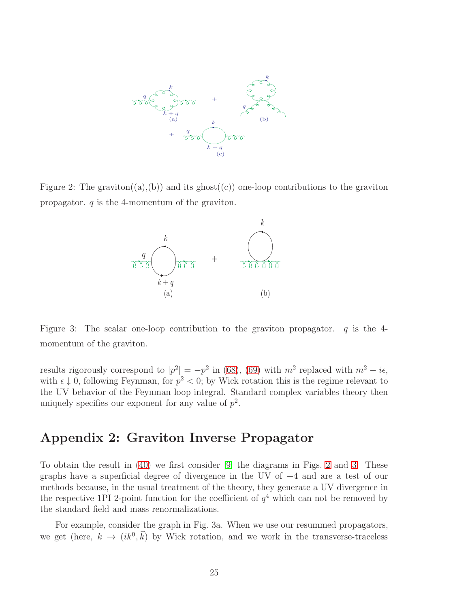

<span id="page-25-0"></span>Figure 2: The graviton((a),(b)) and its ghost((c)) one-loop contributions to the graviton propagator.  $q$  is the 4-momentum of the graviton.



<span id="page-25-1"></span>Figure 3: The scalar one-loop contribution to the graviton propagator.  $q$  is the 4momentum of the graviton.

results rigorously correspond to  $|p^2| = -p^2$  in [\(68\)](#page-24-1), [\(69\)](#page-24-2) with  $m^2$  replaced with  $m^2 - i\epsilon$ , with  $\epsilon \downarrow 0$ , following Feynman, for  $p^2 < 0$ ; by Wick rotation this is the regime relevant to the UV behavior of the Feynman loop integral. Standard complex variables theory then uniquely specifies our exponent for any value of  $p^2$ .

### Appendix 2: Graviton Inverse Propagator

To obtain the result in [\(40\)](#page-13-0) we first consider [\[9\]](#page-33-4) the diagrams in Figs. [2](#page-25-0) and [3.](#page-25-1) These graphs have a superficial degree of divergence in the UV of +4 and are a test of our methods because, in the usual treatment of the theory, they generate a UV divergence in the respective 1PI 2-point function for the coefficient of  $q<sup>4</sup>$  which can not be removed by the standard field and mass renormalizations.

For example, consider the graph in Fig. 3a. When we use our resummed propagators, we get (here,  $k \to (ik^0, \vec{k})$  by Wick rotation, and we work in the transverse-traceless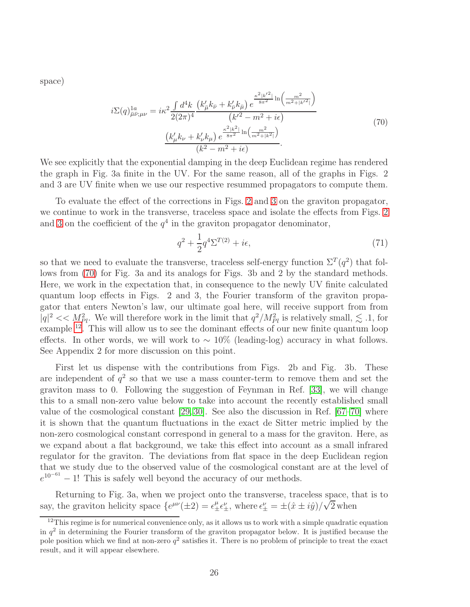<span id="page-26-0"></span>space)

$$
i\Sigma(q)_{\bar{\mu}\bar{\nu};\mu\nu}^{1a} = i\kappa^2 \frac{\int d^4k}{2(2\pi)^4} \frac{\left(k'_{\bar{\mu}}k_{\bar{\nu}} + k'_{\bar{\nu}}k_{\bar{\mu}}\right)e^{\frac{\kappa^2|k'^2|}{8\pi^2}\ln\left(\frac{m^2}{m^2+|k'^2|}\right)}}{\left(k'^2 - m^2 + i\epsilon\right)}
$$
\n
$$
\frac{\left(k'_{\mu}k_{\nu} + k'_{\nu}k_{\mu}\right)e^{\frac{\kappa^2|k^2|}{8\pi^2}\ln\left(\frac{m^2}{m^2+|k^2|}\right)}}{\left(k^2 - m^2 + i\epsilon\right)}.
$$
\n(70)

We see explicitly that the exponential damping in the deep Euclidean regime has rendered the graph in Fig. 3a finite in the UV. For the same reason, all of the graphs in Figs. 2 and 3 are UV finite when we use our respective resummed propagators to compute them.

To evaluate the effect of the corrections in Figs. [2](#page-25-0) and [3](#page-25-1) on the graviton propagator, we continue to work in the transverse, traceless space and isolate the effects from Figs. [2](#page-25-0) and [3](#page-25-1) on the coefficient of the  $q<sup>4</sup>$  in the graviton propagator denominator,

$$
q^2 + \frac{1}{2}q^4 \Sigma^{T(2)} + i\epsilon,\tag{71}
$$

so that we need to evaluate the transverse, traceless self-energy function  $\Sigma^T(q^2)$  that follows from [\(70\)](#page-26-0) for Fig. 3a and its analogs for Figs. 3b and 2 by the standard methods. Here, we work in the expectation that, in consequence to the newly UV finite calculated quantum loop effects in Figs. 2 and 3, the Fourier transform of the graviton propagator that enters Newton's law, our ultimate goal here, will receive support from from  $|q|^2 \ll M_{Pl}^2$ . We will therefore work in the limit that  $q^2/M_{Pl}^2$  is relatively small,  $\lesssim .1$ , for example [12](#page-26-1). This will allow us to see the dominant effects of our new finite quantum loop effects. In other words, we will work to  $\sim 10\%$  (leading-log) accuracy in what follows. See Appendix 2 for more discussion on this point.

First let us dispense with the contributions from Figs. 2b and Fig. 3b. These are independent of  $q^2$  so that we use a mass counter-term to remove them and set the graviton mass to 0. Following the suggestion of Feynman in Ref. [\[33\]](#page-34-14), we will change this to a small non-zero value below to take into account the recently established small value of the cosmological constant [\[29,](#page-34-10) [30\]](#page-34-11). See also the discussion in Ref. [\[67–](#page-36-9)[70\]](#page-36-10) where it is shown that the quantum fluctuations in the exact de Sitter metric implied by the non-zero cosmological constant correspond in general to a mass for the graviton. Here, as we expand about a flat background, we take this effect into account as a small infrared regulator for the graviton. The deviations from flat space in the deep Euclidean region that we study due to the observed value of the cosmological constant are at the level of  $e^{10^{-61}} - 1!$  This is safely well beyond the accuracy of our methods.

Returning to Fig. 3a, when we project onto the transverse, traceless space, that is to say, the graviton helicity space  $\{e^{\mu\nu}(\pm 2) = \epsilon_{\pm}^{\mu} \epsilon_{\pm}^{\nu}$ , where  $\epsilon_{\pm}^{\nu} = \pm(\hat{x} \pm i\hat{y})/\sqrt{2}$  when

<span id="page-26-1"></span> $12$ This regime is for numerical convenience only, as it allows us to work with a simple quadratic equation in  $q^2$  in determining the Fourier transform of the graviton propagator below. It is justified because the pole position which we find at non-zero  $q^2$  satisfies it. There is no problem of principle to treat the exact result, and it will appear elsewhere.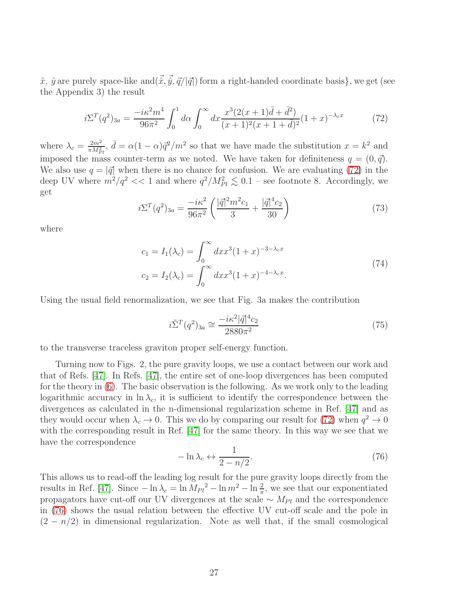$\hat{x}, \hat{y}$  are purely space-like and $(\vec{x}, \vec{y}, \vec{q}/|\vec{q}|)$  form a right-handed coordinate basis}, we get (see the Appendix 3) the result

<span id="page-27-0"></span>
$$
i\Sigma^{T}(q^{2})_{3a} = \frac{-i\kappa^{2}m^{4}}{96\pi^{2}} \int_{0}^{1} d\alpha \int_{0}^{\infty} dx \frac{x^{3}(2(x+1)\bar{d} + \bar{d}^{2})}{(x+1)^{2}(x+1+\bar{d})^{2}} (1+x)^{-\lambda_{c}x}
$$
(72)

where  $\lambda_c = \frac{2m^2}{\pi M_s^2}$  $\frac{2m^2}{\pi M_{Pl}^2}$ ,  $\bar{d} = \alpha (1 - \alpha) \bar{q}^2 / m^2$  so that we have made the substitution  $x = k^2$  and imposed the mass counter-term as we noted. We have taken for definiteness  $q = (0, \vec{q})$ . We also use  $q = |\vec{q}|$  when there is no chance for confusion. We are evaluating [\(72\)](#page-27-0) in the deep UV where  $m^2/q^2 \ll 1$  and where  $q^2/M_{Pl}^2 \lesssim 0.1$  – see footnote 8. Accordingly, we get

$$
i\Sigma^{T}(q^{2})_{3a} = \frac{-i\kappa^{2}}{96\pi^{2}} \left( \frac{|\vec{q}|^{2}m^{2}c_{1}}{3} + \frac{|\vec{q}|^{4}c_{2}}{30} \right)
$$
(73)

where

$$
c_1 = I_1(\lambda_c) = \int_0^\infty dx x^3 (1+x)^{-3-\lambda_c x}
$$
  
\n
$$
c_2 = I_2(\lambda_c) = \int_0^\infty dx x^3 (1+x)^{-4-\lambda_c x}.
$$
\n(74)

Using the usual field renormalization, we see that Fig. 3a makes the contribution

$$
i\tilde{\Sigma}^{T}(q^{2})_{3a} \cong \frac{-i\kappa^{2}|\vec{q}|^{4}c_{2}}{2880\pi^{2}}
$$
\n(75)

to the transverse traceless graviton proper self-energy function.

Turning now to Figs. 2, the pure gravity loops, we use a contact between our work and that of Refs. [\[47\]](#page-35-10). In Refs. [\[47\]](#page-35-10), the entire set of one-loop divergences has been computed for the theory in [\(6\)](#page-4-1). The basic observation is the following. As we work only to the leading logarithmic accuracy in  $\ln \lambda_c$ , it is sufficient to identify the correspondence between the divergences as calculated in the n-dimensional regularization scheme in Ref. [\[47\]](#page-35-10) and as they would occur when  $\lambda_c \to 0$ . This we do by comparing our result for [\(72\)](#page-27-0) when  $q^2 \to 0$ with the corresponding result in Ref. [\[47\]](#page-35-10) for the same theory. In this way we see that we have the correspondence

<span id="page-27-1"></span>
$$
-\ln \lambda_c \leftrightarrow \frac{1}{2 - n/2}.\tag{76}
$$

This allows us to read-off the leading log result for the pure gravity loops directly from the results in Ref. [\[47\]](#page-35-10). Since  $-\ln \lambda_c = \ln M_{Pl}^2 - \ln m^2 - \ln \frac{2}{\pi}$ , we see that our exponentiated propagators have cut-off our UV divergences at the scale  $\sim M_{Pl}$  and the correspondence in [\(76\)](#page-27-1) shows the usual relation between the effective UV cut-off scale and the pole in  $(2 - n/2)$  in dimensional regularization. Note as well that, if the small cosmological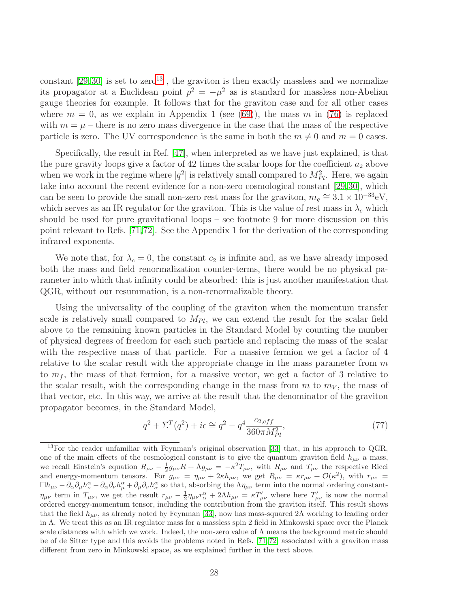constant  $[29, 30]$  $[29, 30]$  is set to zero<sup>[13](#page-28-0)</sup>, the graviton is then exactly massless and we normalize its propagator at a Euclidean point  $p^2 = -\mu^2$  as is standard for massless non-Abelian gauge theories for example. It follows that for the graviton case and for all other cases where  $m = 0$ , as we explain in Appendix 1 (see [\(69\)](#page-24-2)), the mass m in [\(76\)](#page-27-1) is replaced with  $m = \mu$  – there is no zero mass divergence in the case that the mass of the respective particle is zero. The UV correspondence is the same in both the  $m \neq 0$  and  $m = 0$  cases.

Specifically, the result in Ref. [\[47\]](#page-35-10), when interpreted as we have just explained, is that the pure gravity loops give a factor of 42 times the scalar loops for the coefficient  $a_2$  above when we work in the regime where  $|q^2|$  is relatively small compared to  $M_{Pl}^2$ . Here, we again take into account the recent evidence for a non-zero cosmological constant [\[29,](#page-34-10)[30\]](#page-34-11), which can be seen to provide the small non-zero rest mass for the graviton,  $m_g \approx 3.1 \times 10^{-33}$ eV, which serves as an IR regulator for the graviton. This is the value of rest mass in  $\lambda_c$  which should be used for pure gravitational loops – see footnote 9 for more discussion on this point relevant to Refs. [\[71,](#page-36-11)[72\]](#page-36-12). See the Appendix 1 for the derivation of the corresponding infrared exponents.

We note that, for  $\lambda_c = 0$ , the constant  $c_2$  is infinite and, as we have already imposed both the mass and field renormalization counter-terms, there would be no physical parameter into which that infinity could be absorbed: this is just another manifestation that QGR, without our resummation, is a non-renormalizable theory.

Using the universality of the coupling of the graviton when the momentum transfer scale is relatively small compared to  $M_{Pl}$ , we can extend the result for the scalar field above to the remaining known particles in the Standard Model by counting the number of physical degrees of freedom for each such particle and replacing the mass of the scalar with the respective mass of that particle. For a massive fermion we get a factor of 4 relative to the scalar result with the appropriate change in the mass parameter from  $m$ to  $m_f$ , the mass of that fermion, for a massive vector, we get a factor of 3 relative to the scalar result, with the corresponding change in the mass from  $m$  to  $m_V$ , the mass of that vector, etc. In this way, we arrive at the result that the denominator of the graviton propagator becomes, in the Standard Model,

<span id="page-28-1"></span>
$$
q^{2} + \Sigma^{T}(q^{2}) + i\epsilon \cong q^{2} - q^{4} \frac{c_{2,eff}}{360\pi M_{Pl}^{2}},
$$
\n(77)

<span id="page-28-0"></span><sup>&</sup>lt;sup>13</sup>For the reader unfamiliar with Feynman's original observation [\[33\]](#page-34-14) that, in his approach to  $QGR$ , one of the main effects of the cosmological constant is to give the quantum graviton field  $h_{\mu\nu}$  a mass, we recall Einstein's equation  $R_{\mu\nu} - \frac{1}{2}g_{\mu\nu}R + \Lambda g_{\mu\nu} = -\kappa^2 T_{\mu\nu}$ , with  $R_{\mu\nu}$  and  $T_{\mu\nu}$  the respective Ricci and energy-momentum tensors. For  $g_{\mu\nu} = \eta_{\mu\nu} + 2\kappa h_{\mu\nu}$ , we get  $R_{\mu\nu} = \kappa r_{\mu\nu} + \mathcal{O}(\kappa^2)$ , with  $r_{\mu\nu} =$  $\Box h_{\mu\nu} - \partial_\alpha \partial_\mu h^\alpha_\nu - \partial_\alpha \partial_\nu h^\alpha_\mu + \partial_\mu \partial_\nu h^\alpha_\alpha$  so that, absorbing the  $\Lambda \eta_{\mu\nu}$  term into the normal ordering constant- $\eta_{\mu\nu}$  term in  $T_{\mu\nu}$ , we get the result  $r_{\mu\nu} - \frac{1}{2} \eta_{\mu\nu} r_{\alpha}^{\alpha} + 2 \Lambda h_{\mu\nu} = \kappa T'_{\mu\nu}$  where here  $T'_{\mu\nu}$  is now the normal ordered energy-momentum tensor, including the contribution from the graviton itself. This result shows that the field  $h_{\mu\nu}$ , as already noted by Feynman [\[33\]](#page-34-14), now has mass-squared 2Λ working to leading order in  $\Lambda$ . We treat this as an IR regulator mass for a massless spin 2 field in Minkowski space over the Planck scale distances with which we work. Indeed, the non-zero value of  $\Lambda$  means the background metric should be of de Sitter type and this avoids the problems noted in Refs. [\[71,](#page-36-11) [72\]](#page-36-12) associated with a graviton mass different from zero in Minkowski space, as we explained further in the text above.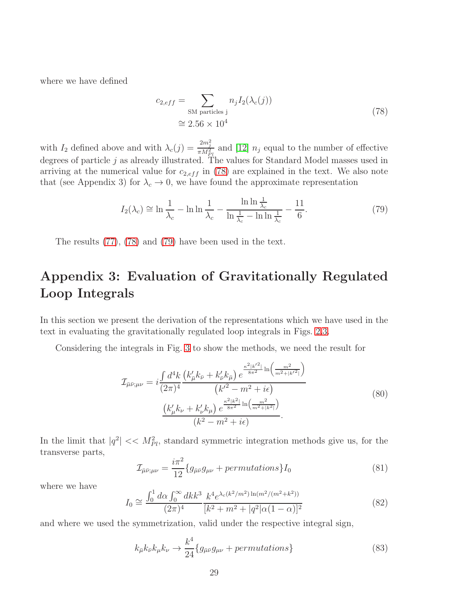<span id="page-29-0"></span>where we have defined

$$
c_{2,eff} = \sum_{\text{SM particles j}} n_j I_2(\lambda_c(j))
$$
  

$$
\approx 2.56 \times 10^4
$$
 (78)

with  $I_2$  defined above and with  $\lambda_c(j) = \frac{2m_j^2}{\pi M_{Pl}^2}$  and [\[12\]](#page-33-9)  $n_j$  equal to the number of effective degrees of particle j as already illustrated. The values for Standard Model masses used in arriving at the numerical value for  $c_{2,eff}$  in [\(78\)](#page-29-0) are explained in the text. We also note that (see Appendix 3) for  $\lambda_c \to 0$ , we have found the approximate representation

<span id="page-29-1"></span>
$$
I_2(\lambda_c) \cong \ln \frac{1}{\lambda_c} - \ln \ln \frac{1}{\lambda_c} - \frac{\ln \ln \frac{1}{\lambda_c}}{\ln \frac{1}{\lambda_c} - \ln \ln \frac{1}{\lambda_c}} - \frac{11}{6}.\tag{79}
$$

The results [\(77\)](#page-28-1), [\(78\)](#page-29-0) and [\(79\)](#page-29-1) have been used in the text.

# Appendix 3: Evaluation of Gravitationally Regulated Loop Integrals

In this section we present the derivation of the representations which we have used in the text in evaluating the gravitationally regulated loop integrals in Figs. [2](#page-25-0)[,3.](#page-25-1)

Considering the integrals in Fig. [3](#page-25-1) to show the methods, we need the result for

$$
\mathcal{I}_{\bar{\mu}\bar{\nu};\mu\nu} = i \frac{\int d^4k}{(2\pi)^4} \frac{\left(k'_{\bar{\mu}}k_{\bar{\nu}} + k'_{\bar{\nu}}k_{\bar{\mu}}\right)e^{\frac{\kappa^2|k'^2|}{8\pi^2}\ln\left(\frac{m^2}{m^2+|k'^2|}\right)}}{\left(k'^2 - m^2 + i\epsilon\right)}
$$
\n
$$
\frac{\left(k'_{\mu}k_{\nu} + k'_{\nu}k_{\mu}\right)e^{\frac{\kappa^2|k^2|}{8\pi^2}\ln\left(\frac{m^2}{m^2+|k^2|}\right)}}{\left(k^2 - m^2 + i\epsilon\right)}.
$$
\n(80)

In the limit that  $|q^2| \ll M_{Pl}^2$ , standard symmetric integration methods give us, for the transverse parts,

$$
\mathcal{I}_{\bar{\mu}\bar{\nu};\mu\nu} = \frac{i\pi^2}{12} \{ g_{\bar{\mu}\bar{\nu}} g_{\mu\nu} + permutations \} I_0 \tag{81}
$$

where we have

$$
I_0 \cong \frac{\int_0^1 d\alpha \int_0^\infty dk k^3}{(2\pi)^4} \frac{k^4 e^{\lambda_c (k^2/m^2) \ln(m^2/(m^2+k^2))}}{[k^2+m^2+|q^2|\alpha(1-\alpha)]^2}
$$
(82)

and where we used the symmetrization, valid under the respective integral sign,

$$
k_{\bar{\mu}}k_{\bar{\nu}}k_{\mu}k_{\nu} \rightarrow \frac{k^4}{24} \{g_{\bar{\mu}\bar{\nu}}g_{\mu\nu} + permutations\}
$$
 (83)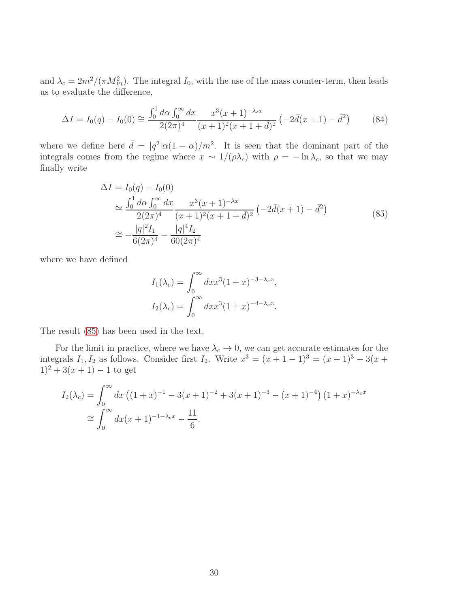and  $\lambda_c = 2m^2/(\pi M_{Pl}^2)$ . The integral  $I_0$ , with the use of the mass counter-term, then leads us to evaluate the difference,

$$
\Delta I = I_0(q) - I_0(0) \cong \frac{\int_0^1 d\alpha \int_0^\infty dx}{2(2\pi)^4} \frac{x^3(x+1)^{-\lambda_c x}}{(x+1)^2(x+1+\bar{d})^2} \left(-2\bar{d}(x+1) - \bar{d}^2\right) \tag{84}
$$

where we define here  $\bar{d} = |q^2| \alpha (1 - \alpha) / m^2$ . It is seen that the dominant part of the integrals comes from the regime where  $x \sim 1/(\rho \lambda_c)$  with  $\rho = -\ln \lambda_c$ , so that we may finally write

$$
\Delta I = I_0(q) - I_0(0)
$$
\n
$$
\approx \frac{\int_0^1 d\alpha \int_0^\infty dx}{2(2\pi)^4} \frac{x^3(x+1)^{-\lambda x}}{(x+1)^2(x+1+\bar{d})^2} \left(-2\bar{d}(x+1) - \bar{d}^2\right)
$$
\n
$$
\approx -\frac{|q|^2 I_1}{6(2\pi)^4} - \frac{|q|^4 I_2}{60(2\pi)^4}
$$
\n(85)

<span id="page-30-0"></span>where we have defined

$$
I_1(\lambda_c) = \int_0^\infty dx x^3 (1+x)^{-3-\lambda_c x},
$$
  

$$
I_2(\lambda_c) = \int_0^\infty dx x^3 (1+x)^{-4-\lambda_c x}.
$$

The result [\(85\)](#page-30-0) has been used in the text.

For the limit in practice, where we have  $\lambda_c \to 0$ , we can get accurate estimates for the integrals  $I_1, I_2$  as follows. Consider first  $I_2$ . Write  $x^3 = (x + 1 - 1)^3 = (x + 1)^3 - 3(x + 1)^3$  $1)^2 + 3(x+1) - 1$  to get

$$
I_2(\lambda_c) = \int_0^\infty dx \left( (1+x)^{-1} - 3(x+1)^{-2} + 3(x+1)^{-3} - (x+1)^{-4} \right) (1+x)^{-\lambda_c x}
$$
  
\n
$$
\approx \int_0^\infty dx (x+1)^{-1-\lambda_c x} - \frac{11}{6}.
$$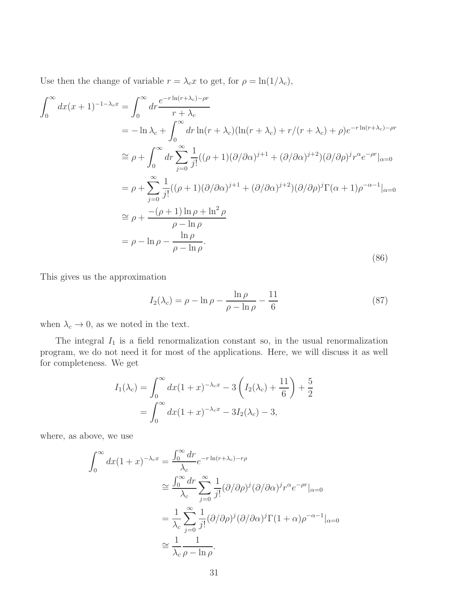Use then the change of variable  $r = \lambda_c x$  to get, for  $\rho = \ln(1/\lambda_c)$ ,

$$
\int_0^\infty dx (x+1)^{-1-\lambda_c x} = \int_0^\infty dr \frac{e^{-r \ln(r+\lambda_c)-\rho r}}{r+\lambda_c}
$$
  
\n
$$
= -\ln \lambda_c + \int_0^\infty dr \ln(r+\lambda_c)(\ln(r+\lambda_c)+r/(r+\lambda_c)+\rho)e^{-r \ln(r+\lambda_c)-\rho r}
$$
  
\n
$$
\approx \rho + \int_0^\infty dr \sum_{j=0}^\infty \frac{1}{j!}((\rho+1)(\partial/\partial \alpha)^{j+1}+(\partial/\partial \alpha)^{j+2})(\partial/\partial \rho)^j r^{\alpha} e^{-\rho r}|_{\alpha=0}
$$
  
\n
$$
= \rho + \sum_{j=0}^\infty \frac{1}{j!}((\rho+1)(\partial/\partial \alpha)^{j+1}+(\partial/\partial \alpha)^{j+2})(\partial/\partial \rho)^j \Gamma(\alpha+1)\rho^{-\alpha-1}|_{\alpha=0}
$$
  
\n
$$
\approx \rho + \frac{-(\rho+1)\ln \rho + \ln^2 \rho}{\rho - \ln \rho}
$$
  
\n
$$
= \rho - \ln \rho - \frac{\ln \rho}{\rho - \ln \rho}.
$$
\n(86)

This gives us the approximation

$$
I_2(\lambda_c) = \rho - \ln \rho - \frac{\ln \rho}{\rho - \ln \rho} - \frac{11}{6}
$$
\n(87)

when  $\lambda_c \to 0$ , as we noted in the text.

The integral  $I_1$  is a field renormalization constant so, in the usual renormalization program, we do not need it for most of the applications. Here, we will discuss it as well for completeness. We get

$$
I_1(\lambda_c) = \int_0^\infty dx (1+x)^{-\lambda_c x} - 3\left(I_2(\lambda_c) + \frac{11}{6}\right) + \frac{5}{2}
$$
  
= 
$$
\int_0^\infty dx (1+x)^{-\lambda_c x} - 3I_2(\lambda_c) - 3,
$$

where, as above, we use

$$
\int_0^\infty dx (1+x)^{-\lambda_c x} = \frac{\int_0^\infty dr}{\lambda_c} e^{-r \ln(r+\lambda_c)-r\rho}
$$
  
\n
$$
\approx \frac{\int_0^\infty dr}{\lambda_c} \sum_{j=0}^\infty \frac{1}{j!} (\partial/\partial \rho)^j (\partial/\partial \alpha)^j r^{\alpha} e^{-\rho r}|_{\alpha=0}
$$
  
\n
$$
= \frac{1}{\lambda_c} \sum_{j=0}^\infty \frac{1}{j!} (\partial/\partial \rho)^j (\partial/\partial \alpha)^j \Gamma(1+\alpha) \rho^{-\alpha-1}|_{\alpha=0}
$$
  
\n
$$
\approx \frac{1}{\lambda_c} \frac{1}{\rho - \ln \rho}.
$$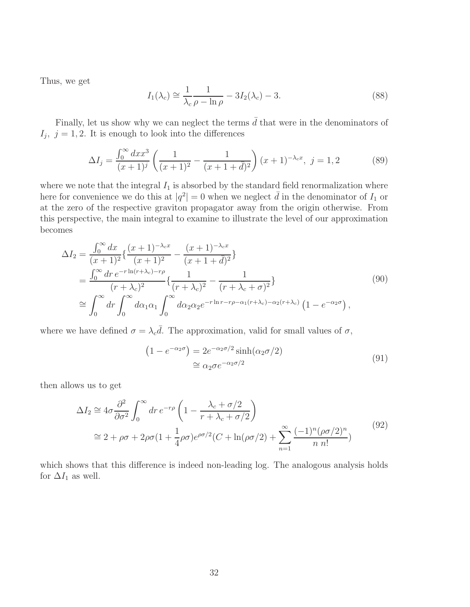Thus, we get

$$
I_1(\lambda_c) \cong \frac{1}{\lambda_c} \frac{1}{\rho - \ln \rho} - 3I_2(\lambda_c) - 3. \tag{88}
$$

Finally, let us show why we can neglect the terms  $\bar{d}$  that were in the denominators of  $I_j$ ,  $j = 1, 2$ . It is enough to look into the differences

$$
\Delta I_j = \frac{\int_0^\infty dx x^3}{(x+1)^j} \left( \frac{1}{(x+1)^2} - \frac{1}{(x+1+\bar{d})^2} \right) (x+1)^{-\lambda_c x}, \ j = 1, 2 \tag{89}
$$

where we note that the integral  $I_1$  is absorbed by the standard field renormalization where here for convenience we do this at  $|q^2| = 0$  when we neglect  $\bar{d}$  in the denominator of  $I_1$  or at the zero of the respective graviton propagator away from the origin otherwise. From this perspective, the main integral to examine to illustrate the level of our approximation becomes

$$
\Delta I_2 = \frac{\int_0^\infty dx}{(x+1)^2} \left\{ \frac{(x+1)^{-\lambda_c x}}{(x+1)^2} - \frac{(x+1)^{-\lambda_c x}}{(x+1+\bar{d})^2} \right\}
$$
  
\n
$$
= \frac{\int_0^\infty dr \, e^{-r \ln(r+\lambda_c)-r\rho}}{(r+\lambda_c)^2} \left\{ \frac{1}{(r+\lambda_c)^2} - \frac{1}{(r+\lambda_c+\sigma)^2} \right\}
$$
  
\n
$$
\approx \int_0^\infty dr \int_0^\infty d\alpha_1 \alpha_1 \int_0^\infty d\alpha_2 \alpha_2 e^{-r \ln r - r\rho - \alpha_1(r+\lambda_c)-\alpha_2(r+\lambda_c)} \left(1 - e^{-\alpha_2 \sigma}\right),
$$
\n(90)

where we have defined  $\sigma = \lambda_c \overline{d}$ . The approximation, valid for small values of  $\sigma$ ,

$$
(1 - e^{-\alpha_2 \sigma}) = 2e^{-\alpha_2 \sigma/2} \sinh(\alpha_2 \sigma/2)
$$
  
\n
$$
\cong \alpha_2 \sigma e^{-\alpha_2 \sigma/2}
$$
\n(91)

then allows us to get

$$
\Delta I_2 \cong 4\sigma \frac{\partial^2}{\partial \sigma^2} \int_0^\infty dr \, e^{-r\rho} \left( 1 - \frac{\lambda_c + \sigma/2}{r + \lambda_c + \sigma/2} \right)
$$
  

$$
\cong 2 + \rho \sigma + 2\rho \sigma (1 + \frac{1}{4}\rho \sigma) e^{\rho \sigma/2} (C + \ln(\rho \sigma/2) + \sum_{n=1}^\infty \frac{(-1)^n (\rho \sigma/2)^n}{n n!})
$$
(92)

which shows that this difference is indeed non-leading log. The analogous analysis holds for  $\Delta I_1$  as well.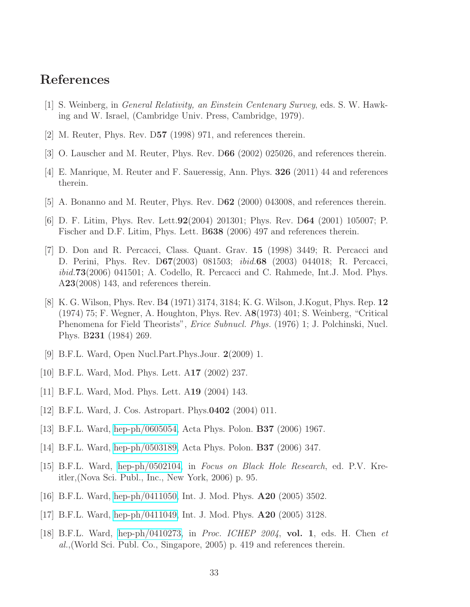### <span id="page-33-0"></span>References

- <span id="page-33-1"></span>[1] S. Weinberg, in General Relativity, an Einstein Centenary Survey, eds. S. W. Hawking and W. Israel, (Cambridge Univ. Press, Cambridge, 1979).
- <span id="page-33-8"></span>[2] M. Reuter, Phys. Rev. D57 (1998) 971, and references therein.
- [3] O. Lauscher and M. Reuter, Phys. Rev. D66 (2002) 025026, and references therein.
- [4] E. Manrique, M. Reuter and F. Saueressig, Ann. Phys. 326 (2011) 44 and references therein.
- [5] A. Bonanno and M. Reuter, Phys. Rev. D62 (2000) 043008, and references therein.
- <span id="page-33-2"></span>[6] D. F. Litim, Phys. Rev. Lett.92(2004) 201301; Phys. Rev. D64 (2001) 105007; P. Fischer and D.F. Litim, Phys. Lett. B638 (2006) 497 and references therein.
- [7] D. Don and R. Percacci, Class. Quant. Grav. 15 (1998) 3449; R. Percacci and D. Perini, Phys. Rev. D67(2003) 081503; ibid.68 (2003) 044018; R. Percacci, ibid.73(2006) 041501; A. Codello, R. Percacci and C. Rahmede, Int.J. Mod. Phys. A23(2008) 143, and references therein.
- <span id="page-33-3"></span>[8] K. G. Wilson, Phys. Rev. B4 (1971) 3174, 3184; K. G. Wilson, J.Kogut, Phys. Rep. 12 (1974) 75; F. Wegner, A. Houghton, Phys. Rev. A8(1973) 401; S. Weinberg, "Critical Phenomena for Field Theorists", Erice Subnucl. Phys. (1976) 1; J. Polchinski, Nucl. Phys. B231 (1984) 269.
- <span id="page-33-4"></span>[9] B.F.L. Ward, Open Nucl.Part.Phys.Jour. 2(2009) 1.
- <span id="page-33-6"></span>[10] B.F.L. Ward, Mod. Phys. Lett. A17 (2002) 237.
- <span id="page-33-9"></span>[11] B.F.L. Ward, Mod. Phys. Lett. A19 (2004) 143.
- <span id="page-33-7"></span>[12] B.F.L. Ward, J. Cos. Astropart. Phys.0402 (2004) 011.
- [13] B.F.L. Ward, [hep-ph/0605054,](http://arxiv.org/abs/hep-ph/0605054) Acta Phys. Polon. B37 (2006) 1967.
- [14] B.F.L. Ward, [hep-ph/0503189,](http://arxiv.org/abs/hep-ph/0503189) Acta Phys. Polon. B37 (2006) 347.
- [15] B.F.L. Ward, [hep-ph/0502104,](http://arxiv.org/abs/hep-ph/0502104) in Focus on Black Hole Research, ed. P.V. Kreitler,(Nova Sci. Publ., Inc., New York, 2006) p. 95.
- [16] B.F.L. Ward, [hep-ph/0411050,](http://arxiv.org/abs/hep-ph/0411050) Int. J. Mod. Phys. A20 (2005) 3502.
- <span id="page-33-5"></span>[17] B.F.L. Ward, [hep-ph/0411049,](http://arxiv.org/abs/hep-ph/0411049) Int. J. Mod. Phys. A20 (2005) 3128.
- [18] B.F.L. Ward, [hep-ph/0410273,](http://arxiv.org/abs/hep-ph/0410273) in Proc. ICHEP 2004, vol. 1, eds. H. Chen et al.,(World Sci. Publ. Co., Singapore, 2005) p. 419 and references therein.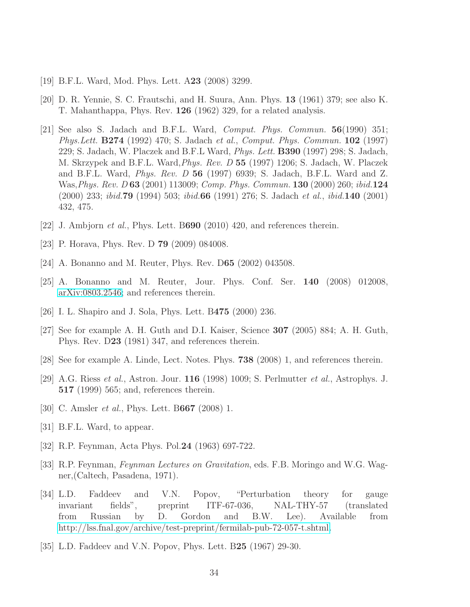- <span id="page-34-1"></span><span id="page-34-0"></span>[19] B.F.L. Ward, Mod. Phys. Lett. A23 (2008) 3299.
- <span id="page-34-2"></span>[20] D. R. Yennie, S. C. Frautschi, and H. Suura, Ann. Phys. 13 (1961) 379; see also K. T. Mahanthappa, Phys. Rev. 126 (1962) 329, for a related analysis.
- [21] See also S. Jadach and B.F.L. Ward, *Comput. Phys. Commun.*  $56(1990)$  351; Phys.Lett. B274 (1992) 470; S. Jadach et al., Comput. Phys. Commun. 102 (1997) 229; S. Jadach, W. Placzek and B.F.L Ward, Phys. Lett. B390 (1997) 298; S. Jadach, M. Skrzypek and B.F.L. Ward,Phys. Rev. D 55 (1997) 1206; S. Jadach, W. Placzek and B.F.L. Ward, *Phys. Rev. D* 56 (1997) 6939; S. Jadach, B.F.L. Ward and Z. Was,Phys. Rev. D 63 (2001) 113009; Comp. Phys. Commun. 130 (2000) 260; ibid.124 (2000) 233; ibid.79 (1994) 503; ibid.66 (1991) 276; S. Jadach et al., ibid.140 (2001) 432, 475.
- <span id="page-34-8"></span><span id="page-34-3"></span> $[22]$  J. Ambjorn *et al.*, Phys. Lett. B690 (2010) 420, and references therein.
- <span id="page-34-4"></span>[23] P. Horava, Phys. Rev. D **79** (2009) 084008.
- <span id="page-34-5"></span>[24] A. Bonanno and M. Reuter, Phys. Rev. D65 (2002) 043508.
- <span id="page-34-9"></span>[25] A. Bonanno and M. Reuter, Jour. Phys. Conf. Ser. 140 (2008) 012008, [arXiv:0803.2546;](http://arxiv.org/abs/0803.2546) and references therein.
- <span id="page-34-6"></span>[26] I. L. Shapiro and J. Sola, Phys. Lett. B475 (2000) 236.
- <span id="page-34-7"></span>[27] See for example A. H. Guth and D.I. Kaiser, Science 307 (2005) 884; A. H. Guth, Phys. Rev. D23 (1981) 347, and references therein.
- <span id="page-34-10"></span>[28] See for example A. Linde, Lect. Notes. Phys. 738 (2008) 1, and references therein.
- [29] A.G. Riess et al., Astron. Jour. 116 (1998) 1009; S. Perlmutter et al., Astrophys. J. 517 (1999) 565; and, references therein.
- <span id="page-34-12"></span><span id="page-34-11"></span>[30] C. Amsler *et al.*, Phys. Lett. B667 (2008) 1.
- <span id="page-34-13"></span>[31] B.F.L. Ward, to appear.
- <span id="page-34-14"></span>[32] R.P. Feynman, Acta Phys. Pol.24 (1963) 697-722.
- [33] R.P. Feynman, Feynman Lectures on Gravitation, eds. F.B. Moringo and W.G. Wagner,(Caltech, Pasadena, 1971).
- <span id="page-34-15"></span>[34] L.D. Faddeev and V.N. Popov, "Perturbation theory for gauge invariant fields", preprint ITF-67-036, NAL-THY-57 (translated invariant fields", preprint ITF-67-036, NAL-THY-57 (translated from Russian by D. Gordon and B.W. Lee). Available from [http://lss.fnal.gov/archive/test-preprint/fermilab-pub-72-057-t.shtml.](http://lss.fnal.gov/archive/test-preprint/fermilab-pub-72-057-t.shtml)
- <span id="page-34-16"></span>[35] L.D. Faddeev and V.N. Popov, Phys. Lett. B25 (1967) 29-30.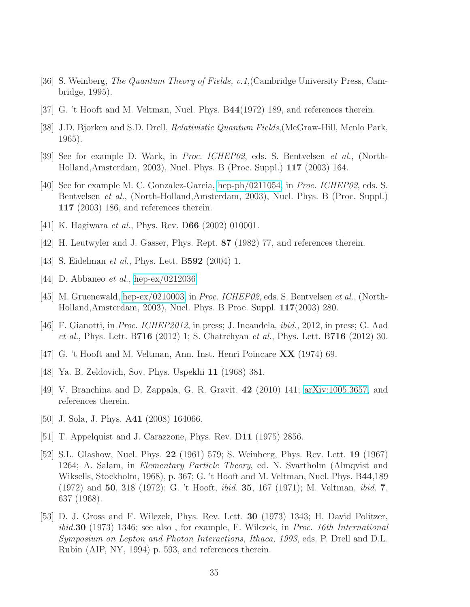- <span id="page-35-1"></span><span id="page-35-0"></span>[36] S. Weinberg, The Quantum Theory of Fields, v.1,(Cambridge University Press, Cambridge, 1995).
- <span id="page-35-2"></span>[37] G. 't Hooft and M. Veltman, Nucl. Phys. B44(1972) 189, and references therein.
- <span id="page-35-3"></span>[38] J.D. Bjorken and S.D. Drell, *Relativistic Quantum Fields*, (McGraw-Hill, Menlo Park, 1965).
- <span id="page-35-4"></span>[39] See for example D. Wark, in Proc. ICHEP02, eds. S. Bentvelsen et al., (North-Holland,Amsterdam, 2003), Nucl. Phys. B (Proc. Suppl.) 117 (2003) 164.
- [40] See for example M. C. Gonzalez-Garcia, [hep-ph/0211054,](http://arxiv.org/abs/hep-ph/0211054) in Proc. ICHEP02, eds. S. Bentvelsen et al., (North-Holland,Amsterdam, 2003), Nucl. Phys. B (Proc. Suppl.) 117 (2003) 186, and references therein.
- <span id="page-35-5"></span>[41] K. Hagiwara *et al.*, Phys. Rev. D66 (2002) 010001.
- <span id="page-35-6"></span>[42] H. Leutwyler and J. Gasser, Phys. Rept. 87 (1982) 77, and references therein.
- <span id="page-35-7"></span>[43] S. Eidelman *et al.*, Phys. Lett. B**592** (2004) 1.
- <span id="page-35-8"></span>[44] D. Abbaneo *et al.*, [hep-ex/0212036.](http://arxiv.org/abs/hep-ex/0212036)
- <span id="page-35-9"></span>[45] M. Gruenewald, [hep-ex/0210003,](http://arxiv.org/abs/hep-ex/0210003) in Proc. ICHEP02, eds. S. Bentvelsen et al., (North-Holland,Amsterdam, 2003), Nucl. Phys. B Proc. Suppl. 117(2003) 280.
- [46] F. Gianotti, in Proc. ICHEP2012, in press; J. Incandela, *ibid.*, 2012, in press; G. Aad et al., Phys. Lett. B716 (2012) 1; S. Chatrchyan et al., Phys. Lett. B716 (2012) 30.
- <span id="page-35-11"></span><span id="page-35-10"></span>[47] G. 't Hooft and M. Veltman, Ann. Inst. Henri Poincare XX (1974) 69.
- <span id="page-35-12"></span>[48] Ya. B. Zeldovich, Sov. Phys. Uspekhi 11 (1968) 381.
- <span id="page-35-13"></span>[49] V. Branchina and D. Zappala, G. R. Gravit. 42 (2010) 141; [arXiv:1005.3657,](http://arxiv.org/abs/1005.3657) and references therein.
- <span id="page-35-14"></span>[50] J. Sola, J. Phys. A41 (2008) 164066.
- <span id="page-35-15"></span>[51] T. Appelquist and J. Carazzone, Phys. Rev. D11 (1975) 2856.
- [52] S.L. Glashow, Nucl. Phys. 22 (1961) 579; S. Weinberg, Phys. Rev. Lett. 19 (1967) 1264; A. Salam, in Elementary Particle Theory, ed. N. Svartholm (Almqvist and Wiksells, Stockholm, 1968), p. 367; G. 't Hooft and M. Veltman, Nucl. Phys. B44,189 (1972) and 50, 318 (1972); G. 't Hooft, ibid. 35, 167 (1971); M. Veltman, ibid. 7, 637 (1968).
- <span id="page-35-16"></span>[53] D. J. Gross and F. Wilczek, Phys. Rev. Lett. 30 (1973) 1343; H. David Politzer, ibid.30 (1973) 1346; see also , for example, F. Wilczek, in Proc. 16th International Symposium on Lepton and Photon Interactions, Ithaca, 1993, eds. P. Drell and D.L. Rubin (AIP, NY, 1994) p. 593, and references therein.